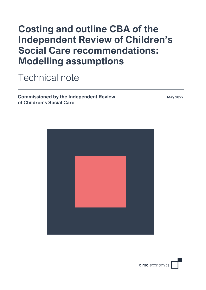# **Costing and outline CBA of the Independent Review of Children's Social Care recommendations: Modelling assumptions**

Technical note

**Commissioned by the Independent Review of Children's Social Care**

**May 2022**



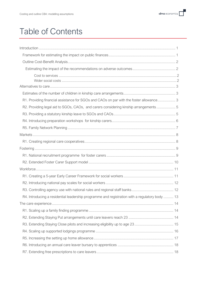# Table of Contents

| R1. Providing financial assistance for SGOs and CAOs on par with the foster allowance 3        |
|------------------------------------------------------------------------------------------------|
| R2. Providing legal aid to SGOs, CAOs, and carers considering kinship arrangements 5           |
|                                                                                                |
|                                                                                                |
|                                                                                                |
|                                                                                                |
|                                                                                                |
|                                                                                                |
|                                                                                                |
|                                                                                                |
|                                                                                                |
|                                                                                                |
|                                                                                                |
|                                                                                                |
| R4. Introducing a residential leadership programme and registration with a regulatory body  13 |
|                                                                                                |
|                                                                                                |
|                                                                                                |
|                                                                                                |
|                                                                                                |
|                                                                                                |
|                                                                                                |
|                                                                                                |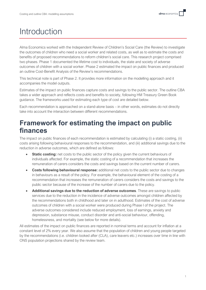# <span id="page-3-0"></span>Introduction

Alma Economics worked with the Independent Review of Children's Social Care (the Review) to investigate the outcomes of children who need a social worker and related costs, as well as to estimate the costs and benefits of proposed recommendations to reform children's social care. This research project comprised two phases. Phase 1 documented the lifetime cost to individuals, the state and society of adverse outcomes of children with a social worker. Phase 2 estimated the impact on public finances and produced an outline Cost-Benefit Analysis of the Review's recommendations.

This technical note is part of Phase 2. It provides more information on the modelling approach and it accompanies the model outputs.

Estimates of the impact on public finances capture costs and savings to the public sector. The outline CBA takes a wider approach and reflects costs and benefits to society, following HM Treasury Green Book guidance. The frameworks used for estimating each type of cost are detailed below.

Each recommendation is approached on a stand-alone basis – in other words, estimates do not directly take into account the interaction between different recommendations.

### <span id="page-3-1"></span>**Framework for estimating the impact on public finances**

The impact on public finances of each recommendation is estimated by calculating (i) a static costing, (ii) costs arising following behavioural responses to the recommendation, and (iii) additional savings due to the reduction in adverse outcomes, which are defined as follows:

- **Static costing:** net costs to the public sector of the policy given the current behaviours of individuals affected. For example, the static costing of a recommendation that increases the remuneration of carers considers the costs and savings based on the current number of carers.
- **Costs following behavioural response:** additional net costs to the public sector due to changes in behaviours as a result of the policy. For example, the behavioural element of the costing of a recommendation that increases the remuneration of carers considers the costs and savings to the public sector because of the increase of the number of carers due to the policy.
- **Additional savings due to the reduction of adverse outcomes**. These are savings to public services due to the reduction in the incidence of adverse outcomes amongst children affected by the recommendations both in childhood and later on in adulthood. Estimates of the cost of adverse outcomes of children with a social worker were produced during Phase I of the project. The adverse outcomes considered include reduced employment, loss of earnings, anxiety and depression, substance misuse, conduct disorder and anti-social behaviour, offending, homelessness, and mortality (see below for more details).

All estimates of the impact on public finances are reported in nominal terms and account for inflation at a constant level of 2% every year. We also assume that the population of children and young people targeted by the recommendations (i.e. children looked after (CLA), care leavers etc.) increases over time in line with ONS population projections shared by the review team.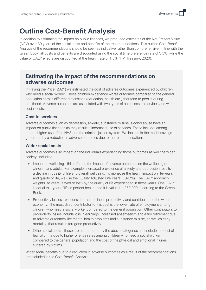#### <span id="page-4-0"></span>**Outline Cost-Benefit Analysis**

In addition to estimating the impact on public finances, we produced estimates of the Net Present Value (NPV) over 30 years of the social costs and benefits of the recommendations. This outline Cost-Benefit Analysis of the recommendations should be seen as indicative rather than comprehensive. In line with the Green Book, all costs and benefits are discounted using the social time preference rate of 3.5%, while the value of QALY effects are discounted at the health rate of 1.5% (HM Treasury, 2020).

#### **Estimating the impact of the recommendations on adverse outcomes**

In Paying the Price (2021) we estimated the cost of adverse outcomes experienced by children who need a social worker. These children experience worse outcomes compared to the general population across different dimensions (education, health etc.) that tend to persist during adulthood. Adverse outcomes are associated with two types of costs: cost to services and wider social costs.

#### **Cost to services**

Adverse outcomes such as depression, anxiety, substance misuse, alcohol abuse have an impact on public finances as they result in increased use of services. These include, among others, higher use of the NHS and the criminal justice system. We include in the model savings generated by a reduction in adverse outcomes due to the recommendations.

#### **Wider social costs**

Adverse outcomes also impact on the individuals experiencing those outcomes as well the wider society, including:

- Impact on wellbeing this refers to the impact of adverse outcomes on the wellbeing of children and adults. For example, increased prevalence of anxiety and depression results in a decline in quality of life and overall wellbeing. To monetise the health impact on life-years and quality of life, we use the Quality Adjusted Life Years (QALYs). The QALY approach weights life years (saved or lost) by the quality of life experienced in those years. One QALY is equal to 1 year of life in perfect health, and it is valued at £60,000 according to the Green Book.
- Productivity losses we consider the decline in productivity and contribution to the wider economy. The most direct contributor to this cost is the lower rate of employment among children who need a social worker compared to the general population. Other contributors to productivity losses include loss in earnings, increased absenteeism and early retirement due to adverse outcomes like mental health problems and substance misuse, as well as early mortality, that result in foregone productivity.
- Other social costs these are not captured by the above categories and include the cost of fear of crime due to higher offence rates among children who need a social worker compared to the general population and the cost of the physical and emotional injuries suffered by victims.

Wider social benefits due to a reduction in adverse outcomes as a result of the recommendations are included in the Cost-Benefit Analysis.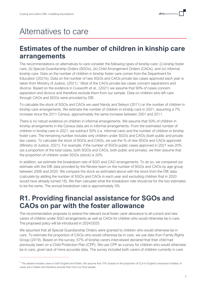# <span id="page-5-0"></span>Alternatives to care

#### <span id="page-5-1"></span>**Estimates of the number of children in kinship care arrangements**

The recommendations on alternatives to care consider the following types of kinship care: (i) kinship foster care, (ii) Special Guardianship Orders (SGOs), (iii) Child Arrangement Orders (CAOs), and (iv) informal kinship care. Data on the number of children in kinship foster care comes from the Department for Education (2021b). Data on the number of new SGOs and CAOs private law cases approved each year is taken from Ministry of Justice, (2021).<sup>1</sup> Most of the CAOs private law cases concern separations and divorce. Based on the evidence in Cusworth et al., (2021) we assume that 90% of cases concern separation and divorce and therefore exclude them from our sample. Data on children who left care through CAOs and SGOs were provided by DfE.

To calculate the stock of SGOs and CAOs we used Nandy and Selwyn (2011) on the number of children in kinship care arrangements. We estimate the number of children in kinship care in 2021, assuming a 7% increase since the 2011 Census, approximately the same increase between 2001 and 2011.

There is no robust evidence on children in informal arrangements. We assume that 50% of children in kinship arrangements in the Census data are in informal arrangements. From the estimated number of children in kinship care in 2021, we subtract 50% (i.e. informal care) and the number of children in kinship foster care. The remaining number includes only children under SGOs and CAOs (both public and private law cases). To calculate the stock of SGOs and CAOs, we use the % of new SGOs and CAOs approved (Ministry of Justice, 2021). For example, if the number of SGOs public cases approved in 2021 was 20% (as a proportion of the total cases, both SGOs and CAOs, both public and private), we then assume that the proportion of children under SGOs (stock) is 20%.

In addition, we estimate the breakdown rate of SGO and CAO arrangements. To do so, we compared our estimate with the DfE data provided by the Review team on the number of SGOs and CAOs by age group between 2006 and 2020. We compare the stock as estimated above with the stock from the DfE data (calculate by adding the number of SGOs and CAOs in each year and excluding children that in 2020 would have already turned 18). We then calculate what the breakdown rate should be for the two estimates to be the same. The annual breakdown rate is approximately 3%.

### <span id="page-5-2"></span>**R1. Providing financial assistance for SGOs and CAOs on par with the foster allowance**

The recommendation proposes to extend the relevant local foster carer allowance to all current and new carers of children under SGO arrangements as well as CAOs for children who would otherwise be in care. The proposed policy will be introduced in 2024/2025.

We assumed that all Special Guardianship Orders were granted to children who would otherwise be in care. To estimate the proportion of CAOs who would otherwise be in care, we use data from Family Rights Group (2019). Based on the survey, 67% of kinship carers interviewed declared that their child had previously been on a Child Protection Plan (CPP). We use CPP as a proxy for children who would otherwise be in care, given lack of more accurate data. The survey included both carers of children currently in care

<sup>&</sup>lt;sup>1</sup> The dataset includes cases in both England and Wales. We assume that 10% (based on the proportion of CLA in England compared to Wales) of cases are in Wales and therefore exclude them from our final sample.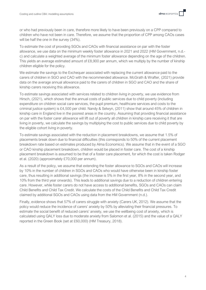or who had previously been in care, therefore more likely to have been previously on a CPP compared to children who have not been in care. Therefore, we assume that the proportion of CPP among CAOs cases will be half the one in the survey (34%).

To estimate the cost of providing SGOs and CAOs with financial assistance on par with the foster allowance, we use data on the minimum weekly foster allowance in 2021 and 2022 (HM Government, n.d. c) and calculate a weighted average of the minimum foster allowance depending on the age of the children. This yields an average estimated amount of £8,900 per annum, which we multiply by the number of kinship children eligible for the policy.

We estimate the savings to the Exchequer associated with replacing the current allowance paid to the carers of children in SGO and CAO with the recommended allowance. McGrath & Wrafter, (2021) provide data on the average annual allowance paid to the carers of children in SGO and CAO and the share of kinship carers receiving this allowance.

To estimate savings associated with services related to children living in poverty, we use evidence from Hirsch, (2021), which shows that the annual costs of public services due to child poverty (including expenditure on children social care services, the pupil premium, healthcare services and costs to the criminal justice system) is £4,500 per child. Nandy & Selwyn, (2011) show that around 45% of children in kinship care in England live in the poorest areas in the country. Assuming that providing financial assistance on par with the foster carer allowance will lift out of poverty all children in kinship care receiving it that are living in poverty, we calculate the savings by multiplying the cost to public services due to child poverty by the eligible cohort living in poverty.

To estimate savings associated with the reduction in placement breakdowns, we assume that 1.5% of placements break down due to financial difficulties (this corresponds to 50% of the current placement breakdown rate based on estimates produced by Alma Economics). We assume that in the event of a SGO or CAO kinship placement breakdown, children would be placed in foster care. The cost of a kinship placement breakdown is assumed to be that of a foster care placement, for which the cost is taken Rodger et al. (2020) (approximately £70,000 per annum).

As a result of the policy, we assume that extending the foster allowance to SGOs and CAOs will increase by 10% in the number of children in SGOs and CAOs who would have otherwise been in kinship foster care, thus resulting in additional savings (the increase is 5% in the first year, 8% in the second year, and 10% from the third year onwards). This leads to additional savings due to a reduction of children entering care. However, while foster carers do not have access to additional benefits, SGOs and CAOs can claim Child Benefits and Child Tax Credit. We calculate the costs of the Child Benefits and Child Tax Credit claimed by additional SGOs and CAOs using data from the HM Government (n.d.).

Finally, evidence shows that 57% of carers struggle with anxiety (Carers UK, 2012). We assume that the policy would reduce the incidence of carers' anxiety by 50% by alleviating their financial pressures. To estimate the social benefit of reduced carers' anxiety, we use the wellbeing cost of anxiety, which is calculated using QALY loss due to moderate anxiety from Salomon et al. (2015) and the value of a QALY reported in the Green Book (set at £60,000) (HM Treasury, 2018).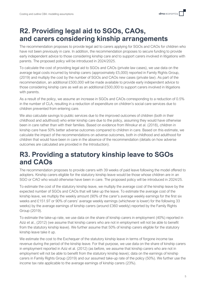## <span id="page-7-0"></span>**R2. Providing legal aid to SGOs, CAOs, and carers considering kinship arrangements**

The recommendation proposes to provide legal aid to carers applying for SGOs and CAOs for children who have not been previously in care. In addition, the recommendation proposes to secure funding to provide early independent advice to those considering kinship care and to support carers involved in litigations with parents. The proposed policy will be introduced in 2024/2025.

To calculate the cost of providing legal aid to SGOs and CAOs (private law cases), we use data on the average legal costs incurred by kinship carers (approximately £5,000) reported in Family Rights Group, (2019) and multiply the cost by the number of SGOs and CAOs new cases (private law). As part of the recommendation, an additional £500,000 will be made available to provide early independent advice to those considering kinship care as well as an additional £500,000 to support carers involved in litigations with parents.

As a result of the policy, we assume an increase in SGOs and CAOs corresponding to a reduction of 0.5% in the number of CLA, resulting in a reduction of expenditure on children's social care services due to children prevented from entering care.

We also calculate savings to public services due to the improved outcomes of children (both in their childhood and adulthood) who enter kinship care due to the policy, assuming they would have otherwise been in care rather than with their families. Based on evidence from Winokur et al. (2018), children in kinship care have 50% better adverse outcomes compared to children in care. Based on this estimate, we calculate the impact of the recommendations on adverse outcomes, both in childhood and adulthood for children that would have been in care in the absence of the recommendation (details on how adverse outcomes are calculated are provided in the Introduction).

### <span id="page-7-1"></span>**R3. Providing a statutory kinship leave to SGOs and CAOs**

The recommendation proposes to provide carers with 39 weeks of paid leave following the model offered to adopters. Kinship carers eligible for the statutory kinship leave would be those whose children are in an SGO or CAO who would otherwise have been in care. The proposed policy will be introduced in 2024/25.

To estimate the cost of the statutory kinship leave, we multiply the average cost of the kinship leave by the expected number of SGOs and CAOs that will take up the leave. To estimate the average cost of the kinship leave, we multiply the weekly amount (90% of the carer's average weekly earnings for the first six weeks and £151.97 or 90% of carers' average weekly earnings (whichever is lower) for the following 33 weeks) by the average earnings of kinship carers (around £360 weekly) reported by the Family Rights Group (2019).

To estimate the take-up rate, we use data on the share of kinship carers in employment (40%) reported in Aziz et al., (2012) (we assume that kinship carers who are not in employment will not be able to benefit from the statutory kinship leave). We further assume that 50% of kinship carers eligible for the statutory kinship leave take it up.

We estimate the cost to the Exchequer of the statutory kinship leave in terms of forgone income tax revenue during the period of the kinship leave. For that purpose, we use data on the share of kinship carers in employment reported in Aziz et al. (2012) (as before, we assume that kinship carers who are not in employment will not be able to benefit from the statutory kinship leave); data on the earnings of kinship carers in Family Rights Group (2019) and our assumed take-up rate of the policy (50%). We further use the income tax rate applicable to the average earnings of kinship carers (23%).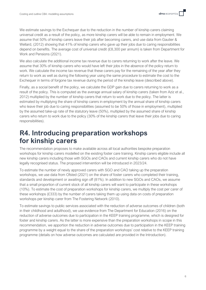We estimate savings to the Exchequer due to the reduction in the number of kinship carers claiming universal credit as a result of the policy, as more kinship carers will be able to remain in employment. We assume that 50% of kinship carers leave their job after becoming carers, and use data from Gautier & Wellard, (2012) showing that 41% of kinship carers who gave up their jobs due to caring responsibilities depend on benefits. The average cost of universal credit (£8,300 per annum) is taken from Department for Work and Pensions (2021).

We also calculate the additional income tax revenue due to carers returning to work after the leave. We assume that 30% of kinship carers who would have left their jobs in the absence of the policy return to work. We calculate the income tax revenue that these carers pay for the remaining of the year after they return to work as well as during the following year using the same procedure to estimate the cost to the Exchequer in terms of forgone tax revenue during the period of the kinship leave (described above).

Finally, as a social benefit of the policy, we calculate the GDP gain due to carers returning to work as a result of the policy. This is computed as the average annual salary of kinship carers (taken from Aziz et al., 2012) multiplied by the number of kinship carers that return to work due to the policy. The latter is estimated by multiplying the share of kinship carers in employment by the annual share of kinship carers who leave their job due to caring responsibilities (assumed to be 50% of those in employment), multiplied by the assumed take-up rate of the statutory leave (50%), multiplied by the assumed share of kinship carers who return to work due to the policy (30% of the kinship carers that leave their jobs due to caring responsibilities).

#### <span id="page-8-0"></span>**R4. Introducing preparation workshops for kinship carers**

The recommendation proposes to make available across all local authorities bespoke preparation workshops for kinship carers modelled on the existing foster care training. Kinship carers eligible include all new kinship carers including those with SGOs and CAOs and current kinship carers who do not have legally recognised status. The proposed intervention will be introduced in 2023/24.

To estimate the number of newly approved carers with SGO and CAO taking up the preparation workshops, we use data from Ofsted (2021) on the share of foster carers who completed their training, standards and development or awaiting sign off (81%). In addition to new SGOs and CAOs, we assume that a small proportion of current stock of all kinship carers will want to participate in these workshops (10%). To estimate the cost of preparation workshops for kinship carers, we multiply the cost per carer of these workshops (£333) by the number of carers taking them up using data on costs of preparation workshops per kinship carer from The Fostering Network (2010).

To estimate savings to public services associated with the reduction of adverse outcomes of children (both in their childhood and adulthood), we use evidence from The Department for Education (2016) on the reduction of adverse outcomes due to participation in the KEEP training programme, which is designed for foster and kinship carers. As the latter is more expensive than the preparation workshops in scope in this recommendation, we apportion the reduction in adverse outcomes due to participation in the KEEP training programme by a weight equal to the share of the preparation workshops' cost relative to the KEEP training programme (details on how adverse outcomes are calculated are provided in the Introduction).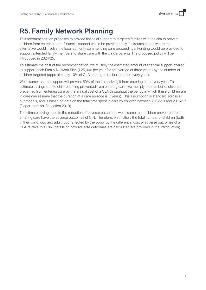## <span id="page-9-0"></span>**R5. Family Network Planning**

This recommendation proposes to provide financial support to targeted families with the aim to prevent children from entering care. Financial support would be provided only in circumstances where the alternative would involve the local authority commencing care proceedings. Funding would be provided to support extended family members to share care with the child's parents.The proposed policy will be introduced in 2024/25.

To estimate the cost of the recommendation, we multiply the estimated amount of financial support offered to support each Family Network Plan (£25,000 per year for an average of three years) by the number of children targeted (approximately 10% of CLA starting to be looked after every year).

We assume that the support will prevent 50% of those receiving it from entering care every year. To estimate savings due to children being prevented from entering care, we multiply the number of children prevented from entering care by the annual cost of a CLA throughout the period in which these children are in care (we assume that the duration of a care episode is 3 years). This assumption is standard across all our models, and is based on data on the total time spent in care by children between 2012-13 and 2016-17 (Department for Education 2019).

To estimate savings due to the reduction of adverse outcomes, we assume that children prevented from entering care have the adverse outcomes of CIN. Therefore, we multiply the total number of children (both in their childhood and adulthood) affected by the policy by the differential cost of adverse outcomes of a CLA relative to a CIN (details on how adverse outcomes are calculated are provided in the Introduction).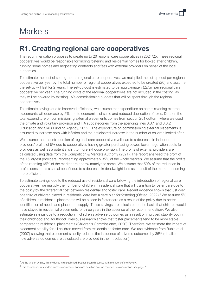# <span id="page-10-0"></span>**Markets**

## <span id="page-10-1"></span>**R1. Creating regional care cooperatives**

The recommendation proposes to create up to 20 regional care cooperatives in 2024/25. These regional cooperatives would be responsible for finding fostering and residential homes for looked after children, running some homes and negotiating contracts and fees with external providers on behalf of the local authorities.

To estimate the cost of setting-up the regional care cooperatives, we multiplied the set-up cost per regional cooperative per year by the total number of regional cooperatives expected to be created (20) and assume the set-up will last for 2 years. The set-up cost is estimated to be approximately £2.5m per regional care cooperative per year. The running costs of the regional cooperatives are not included in the costing, as they will be covered by existing LA's commissioning budgets that will be spent through the regional cooperatives.

To estimate savings due to improved efficiency, we assume that expenditure on commissioning external placements will decrease by 5% due to economies of scale and reduced duplication of roles. Data on the total expenditure on commissioning external placements comes from section 251 outturn, where we used the private and voluntary provision and IFA subcategories from the spending lines 3.3.1 and 3.3.2 (Education and Skills Funding Agency, 2022). The expenditure on commissioning external placements is assumed to increase both with inflation and the anticipated increase in the number of children looked after.

We assume that the introduction of regional care cooperatives will lead to a decrease in independent providers' profits of 5% due to cooperatives having greater purchasing power, lower negotiation costs for providers as well as a potential shift to more in-house provision. The profits of external providers are calculated using data from the Competition & Markets Authority (2021). The report analysed the profit of the 15 largest providers (representing approximately 35% of the whole market). We assume that the profits of the reaming 65% of the market are approximately the same. We assume that 50% of the reduction in profits constitutes a social benefit due to a decrease in deadweight loss as a result of the market becoming more efficient.

To estimate savings due to the reduced use of residential care following the introduction of regional care cooperatives, we multiply the number of children in residential care that will transition to foster care due to the policy by the differential cost between residential and foster care. Recent evidence shows that just over one third of children placed in residential care had a care plan for fostering (Ofsted, 2022). <sup>2</sup> We assume 5% of children in residential placements will be placed in foster care as a result of the policy due to better identification of needs and placement supply. These savings are calculated on the basis that children would have stayed in residential placements for three years in the absence of the recommendation<sup>3</sup>. We also estimate savings due to a reduction in children's adverse outcomes as a result of improved stability both in their childhood and adulthood. Previous research shows that foster placements tend to be more stable compared to residential placements (Children's Commissioner, 2020). Therefore, we estimate the impact of placement stability for all children moved from residential to foster care. We use evidence from Rubin et al. (2007) showing that placement stability reduces the incidence of adverse outcomes by 36% (details on how adverse outcomes are calculated are provided in the Introduction).

 $2$  At the time of writing, this evidence is unpublished, but has been discussed with members of the Review.

 $3$  This assumption is standard across our models. For more detail on how we reached this assumption, see page 7.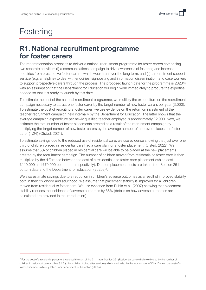# <span id="page-11-0"></span>Fostering

### <span id="page-11-1"></span>**R1. National recruitment programme for foster carers**

The recommendation proposes to deliver a national recruitment programme for foster carers comprising two separate activities: (i) a communications campaign to drive awareness of fostering and increase enquiries from prospective foster carers, which would run over the long term, and (ii) a recruitment support service (e.g. a helpline) to deal with enquiries, signposting and information dissemination, and case workers to support prospective carers through the process. The proposed launch date for the programme is 2023/4 with an assumption that the Department for Education will begin work immediately to procure the expertise needed so that it is ready to launch by this date.

To estimate the cost of the national recruitment programme, we multiply the expenditure on the recruitment campaign necessary to attract one foster carer by the target number of new foster carers per year (3,000). To estimate the cost of recruiting a foster carer, we use evidence on the return on investment of the teacher recruitment campaign held internally by the Department for Education. The latter shows that the average campaign expenditure per newly qualified teacher employed is approximately £2,900. Next, we estimate the total number of foster placements created as a result of the recruitment campaign by multiplying the target number of new foster carers by the average number of approved places per foster carer (1.24) (Ofsted, 2021).

To estimate savings due to the reduced use of residential care, we use evidence showing that just over one third of children placed in residential care had a care plan for a foster placement (Ofsted, 2022). We assume that 5% of children placed in residential care will be able to be placed at the new placements created by the recruitment campaign. The number of children moved from residential to foster care is then multiplied by the difference between the cost of a residential and foster care placement (which cost £110,000 and £70,000 per annum, respectively). Data on placement costs are taken from Section 251 outturn data and the Department for Education (2020a)<sup>4</sup>.

We also estimate savings due to a reduction in children's adverse outcomes as a result of improved stability both in their childhood and adulthood. We assume that placement stability is improved for all children moved from residential to foster care. We use evidence from Rubin et al. (2007) showing that placement stability reduces the incidence of adverse outcomes by 36% (details on how adverse outcomes are calculated are provided in the Introduction).

<sup>&</sup>lt;sup>4</sup> For the cost of a residential placement, we used the sum of line 3.1.1 from Section 251 (Residential care) which we divided by the number of children in residential care and line 3.1.5 (other children looked after services) which we divided by the total number of CLA. Data on the cost of a foster placement is directly taken from Department for Education (2020a).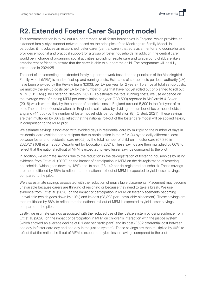### <span id="page-12-0"></span>**R2. Extended Foster Carer Support model**

This recommendation is to roll out a support model to all foster households in England, which provides an extended family-style support network based on the principles of the Mockingbird Family Model. In particular, it introduces an established foster carer (central carer) that acts as a mentor and counsellor and provides emotional and practical support for a group of foster households. In addition, the central carer would be in charge of organising social activities, providing respite care and wraparound childcare like a grandparent or friend to ensure that the carer is able to support the child. The programme will be fully introduced in 2024/25.

The cost of implementing an extended family support network based on the principles of the Mockingbird Family Model (MFM) is made of set-up and running costs. Estimates of set-up costs per local authority (LA) have been provided by the Review team (£300k per LA per year for 2 years). To arrive at total set-up costs, we multiply the set-up costs per LA by the number of LAs that have not yet rolled out or planned to roll out MFM (101 LAs) (The Fostering Network, 2021). To estimate the total running costs, we use evidence on the average cost of running MFM per constellation per year (£30,500) reported in McDermid & Baker (2016) which we multiply by the number of constellations in England (around 5,800 in the first year of rollout). The number of constellations in England is calculated by dividing the number of foster households in England (44,500) by the number of foster households per constellation (8) (Ofsted, 2021). These savings are then multiplied by 66% to reflect that the national roll-out of the foster care model will be applied flexibly in comparison to the MFM pilot.

We estimate savings associated with avoided days in residential care by multiplying the number of days in residential care avoided per participant due to participation in the MFM (4) by the daily differential cost between foster and residential care (£602) by the total number of children in foster care (57,330 in 2020/21) (Ott et al., 2020, Department for Education, 2021). These savings are then multiplied by 66% to reflect that the national roll-out of MFM is expected to yield lesser savings compared to the pilot.

In addition, we estimate savings due to the reduction in the de-registration of fostering households by using evidence from Ott et al. (2020) on the impact of participation in MFM on the de-registration of fostering households (which goes down by 18%) and its cost (£3,142 per de-registered household). These savings are then multiplied by 66% to reflect that the national roll-out of MFM is expected to yield lesser savings compared to the pilot.

We also estimate savings associated with the reduction of unavailable placements. Placement may become unavailable because carers are thinking of resigning or because they need to take a break. We use evidence from Ott et al. (2020) on the impact of participation in MFM on foster placements becoming unavailable (which goes down by 13%) and its cost (£8,898 per unavailable placement). These savings are then multiplied by 66% to reflect that the national roll-out of MFM is expected to yield lesser savings compared to the pilot.

Lastly, we estimate savings associated with the reduced use of the justice system by using evidence from Ott et al. (2020) on the impact of participation in MFM on children's interaction with the justice system (which showed an average decline of 0.1 day per participant) and its cost (£602 differential cost between one day in foster care day and one day in the justice system). These savings are then multiplied by 66% to reflect that the national roll-out of MFM is expected to yield lesser savings compared to the pilot.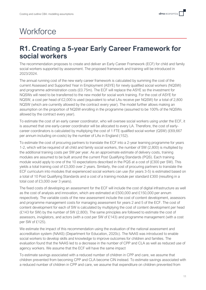# <span id="page-13-0"></span>**Workforce**

### <span id="page-13-1"></span>**R1. Creating a 5-year Early Career Framework for social workers**

The recommendation proposes to create and deliver an Early Career Framework (ECF) for child and family social workers supported by assessment. The proposed framework and training will be introduced in 2023/2024.

The annual running cost of the new early career framework is calculated by summing the cost of the current Assessed and Supported Year in Employment (ASYE) for newly qualified social workers (NQSW) and programme administration costs (£0.75m). The ECF will replace the ASYE so the investment for NQSWs will need to be transferred to the new model for social work training. For the cost of ASYE for NQSW, a cost per head of £2,000 is used (equivalent to what LAs receive per NQSW) for a total of 2,800 NQSW (which are currently allowed by the contract every year). The model further allows making an assumption on the proportion of NQSW enrolling in the programme (assumed to be 100% of the NQSWs allowed by the contract every year).

To estimate the cost of an early career coordinator, who will oversee social workers using under the ECF, it is assumed that one early-career coordinator will be allocated to every LA. Therefore, the cost of earlycareer coordinators is calculated by multiplying the cost of 1 FTE qualified social worker (QSW) (£69,667 per annum including on-costs) by the number of LAs in England (152).

To estimate the cost of procuring partners to translate the ECF into a 2-year learning programme for years 1-2, which will be required of all child and family social workers, the number of SW (2,800) is multiplied by the additional training costs per SW per year. As an approximate estimate of delivery costs, training modules are assumed to be built around the current Post Qualifying Standards (PQS). Each training module would apply to one of the 10 expectations described in the PQS at a cost of (£300 per SW). This yields a total training cost of £3,000 over 2 years. Similarly, the cost of procuring partners to translate the ECF curriculum into modules that experienced social workers can use (for years 3-5) is estimated based on a total of 10 Post Qualifying Standards and a cost of a training module per standard £300 (resulting in a total cost of £3,000 over 3 years).

The fixed costs of developing an assessment for the ECF will include the cost of digital infrastructure as well as the cost of analysis and innovation, which are estimated at £500,000 and £150,000 per annum respectively. The variable costs of the new assessment include the cost of content development, assessors and programme management costs for managing assessment for years 2 and 5 of the ECF. The cost of content development for each of SW is calculated by multiplying the cost of content development per head (£143 for SW) by the number of SW (2,800). The same principles are followed to estimate the cost of assessors, invigilators, and actors (with a cost per SW of £143) and programme management (with a cost per SW of £125).

We estimate the impact of this recommendation using the evaluation of the national assessment and accreditation system (NAAS) (Department for Education, 2020c). The NAAS was introduced to enable social workers to develop skills and knowledge to improve outcomes for children and families. The evaluation found that the NAAS led to a decrease in the number of CPP and CLA as well as reduced use of agency workers. We assume that the ECF will have the same impact

To estimate savings associated with a reduced number of children in CPP and care, we assume that children prevented from becoming CPP and CLA become CIN instead. To estimate savings associated with a reduced number of children in CPP and care, we assume that expenditure on children prevented from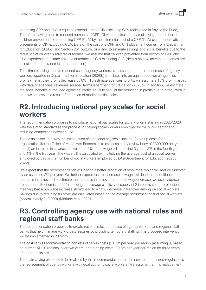becoming CPP and CLA is equal to expenditure on CIN excluding CLA (calculated in Paying the Price). Therefore, savings due to reduced numbers of CPP (CLA) are calculated by multiplying the number of children prevented from becoming CPP (CLA) by the differential cost of a CPP (CLA) placement relative to placements of CIN excluding CLA. Data on the cost of a CPP and CIN placement comes from (Department for Education, 2020c) and Section 251 outturn. Similarly, to estimate savings and social benefits due to the reduction of children's adverse outcomes, we assume that children prevented from becoming CPP and CLA experience the same adverse outcomes as CIN excluding CLA (details on how adverse outcomes are calculated are provided in the Introduction).

To estimate savings due to reduced use of agency workers, we assume that the reduced use of agency workers reported in Department for Education (2020b) translates into an equal reduction of agencies' profits (that is, their profits decrease by 8%). To estimate agencies' profits, we assume a 15% profit margin, with data of agencies' revenues sourced from Department for Education (2020b). In addition, we estimate the social benefits of reduced agencies' profits equal to 50% of the reduction in profits due to a reduction in deadweight loss as a result of reduction of market inefficiencies.

### <span id="page-14-0"></span>**R2. Introducing national pay scales for social workers**

The recommendation proposes to introduce national pay scales for social workers starting in 2025/2026 with the aim to standardise the process for paying social workers employed by the public sector and reducing competition between LAs.

The costs associated with the introduction of a national pay scale include: (i) set up costs for an organisation like the Office of Manpower Economics to establish a pay review body of £300,000 per year, and (ii) an increase in salaries equivalent to 5% of the wage bill in the first 3 years, 2% in the fourth year and 1% in the fifth year. The wage bill is calculated by multiplying the average cost of a social worker employed by Las by the number of social workers employed by LAs(Department for Education 2020c, 2022).

We expect that the recommendation will lead to a better allocation of resources, which will reduce turnover by an assumed 2% per year. We further expect that the increase in wages will lead to an additional decrease in turnover. To estimate the decrease in turnover due to the wage increase, we use evidence from London Economics (2021) showing an average elasticity of supply of 2 in public sector professions, meaning that a 5% wage increase should lead to a 10% decrease in turnover among LA social workers. Savings due to reducing turnover are calculated based on the average recruitment cost of social workers (approximately £10,000) (Moriarty et al., 2021).

### <span id="page-14-1"></span>**R3. Controlling agency use with national rules and regional staff banks**

The recommendation proposes to create national rules on the use of agency workers and regional staff banks that help manage workforce pressures by providing temporary staffing. The proposed intervention will be implemented in 2024/25.

The cost of this recommendation consists of set-up costs (£1.5m per year per region (assuming 9, based on current ADCS regions, over two years) and running costs (£0.5m per year per region for three years after the banks are set up).

The main saving expected to be realised by this recommendation and the new recommended regulation is the replacement of agency workers with local authority social workers. We assume that this replacement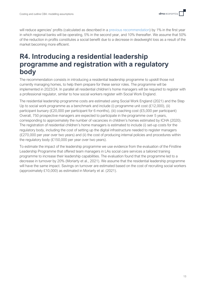will reduce agencies' profits (calculated as described in a previous recommendation) by 1% in the first year in which regional banks will be operating, 5% in the second year, and 10% thereafter. We assume that 50% of the reduction in profits constitutes a social benefit due to a decrease in deadweight loss as a result of the market becoming more efficient.

#### <span id="page-15-0"></span>**R4. Introducing a residential leadership programme and registration with a regulatory body**

The recommendation consists in introducing a residential leadership programme to upskill those not currently managing homes, to help them prepare for these senior roles. The programme will be implemented in 2023/24. In parallel all residential children's home managers will be required to register with a professional regulator, similar to how social workers register with Social Work England.

The residential leadership programme costs are estimated using Social Work England (2021) and the Step Up to social work programme as a benchmark and include (i) programme unit cost (£12,000), (ii) participant bursary (£20,000 per participant for 6 months), (iii) coaching cost (£5,000 per participant) Overall, 750 prospective managers are expected to participate in the programme over 5 years, corresponding to approximately the number of vacancies in children's homes estimated by ICHA (2020). The registration of residential children's home managers is estimated to include (i) set-up costs for the regulatory body, including the cost of setting up the digital infrastructure needed to register managers (£270,000 per year over two years) and (ii) the cost of producing internal policies and procedures within the regulatory body (£150,000 per year over two years).

To estimate the impact of the leadership programme we use evidence from the evaluation of the Firstline Leadership Programme that offered team managers in LAs social care services a tailored training programme to increase their leadership capabilities. The evaluation found that the programme led to a decrease in turnover by 20% (Moriarty et al., 2021). We assume that the residential leadership programme will have the same impact. Savings on turnover are estimated based on the cost of recruiting social workers (approximately £10,000) as estimated in Moriarty et al. (2021).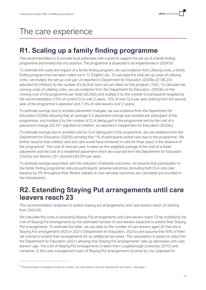# <span id="page-16-0"></span>The care experience

### <span id="page-16-1"></span>**R1. Scaling up a family finding programme**

This recommendation is to provide local authorities with a grant to support the set-up of a family finding programme and embed this into practice. The programme is expected to be implemented in 2024/25.

To estimate the costs and impact of a family finding program, we use evidence from Lifelong Links, a family finding program that has been rolled out in 12 English LAs. To calculate the total set-up costs of Lifelong Links, we multiply the set-up cost per LA reported in Department for Education (2020b) (£108,243 adjusted for inflation) by the number of LAs that have not yet rolled out this program (140). To calculate the running costs of Lifelong Links, we use evidence from the Department for Education, (2020b) on the running cost of the programme per head (£6,000) and multiply it by the number of participants targeted by the recommendation (15% of current CLA over 2 years, 15% of new CLA per year starting from the second year of the programme's operation and 7.5% of care leavers over 2 years).

To estimate savings due to avoided placement changes, we use evidence from the Department for Education (2020b) showing that an average 0.5 placement change was avoided per participant of the programme, and multiply it by the number of CLA taking part in the programme and by the cost of a placement change (£2,451 adjusted for inflation, as reported in Department for Education (2020b)).

To estimate savings due to avoided care for CLA taking part in the programme, we use evidence from the Department for Education (2020b) showing that 1% of participants exited care due to the programme. We further assume that children who exit care would have remained in care for three years in the absence of the programme<sup>5</sup>. The cost of care per year is taken as the weighted average of the cost of a foster placement and the cost of a residential placement which are sourced from the Department for Education (2020a) and Section 251 (around £80,000 per year).

To estimate savings associated with the reduction of adverse outcomes, we assume that participation in the family finding programme reduces participants' adverse outcomes (including both CLA and care leavers) by 5% throughout their lifetime (details on how adverse outcomes are calculated are provided in the Introduction).

### <span id="page-16-2"></span>**R2. Extending Staying Put arrangements until care leavers reach 23**

The recommendation proposes to extend staying put arrangements until care leavers reach 23 starting from 2025/26.

We calculate the costs of extending Staying Put arrangements until care leavers reach 23 by multiplying the cost of Staying Put arrangements by the estimated number of care leavers expected to extend their Staying Put arrangements. To estimate the latter, we use data on the number of care leavers aged 20 that are in Staying Put arrangements (820 in 2021) (Department for Education, 2021b) and assume that 50% of them will choose to extend their arrangements for an additional two years. This assumption is based on data from the Department for Education (2021) showing that Staying Put arrangements' take up decreases with care leavers' age. The cost of Staying Put arrangements is taken from Loughborough University (2012) and comprise: (i) the case management costs of Staying Put arrangements incurred by LAs (adjusted for

 $^5$  This assumption is standard across our models. For more detail on how we reached this assumption, see page 7.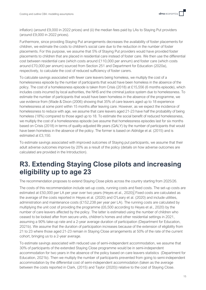inflation) (around £9,000 in 2022 prices) and (ii) the median fees paid by LAs to Staying Put providers (around £9,000 in 2022 prices).

Furthermore, since providing Staying Put arrangements decreases the availability of foster placements for children, we estimate the costs to children's social care due to the reduction in the number of foster placements. For this purpose, we assume that 5% of Staying Put providers would have provided foster placements to children that are placed in residential care instead of foster care. We then use the differential cost between residential care (which costs around £110,000 per annum) and foster care (which costs around £70,000 per annum) sourced from Section 251 and Department for Education (2020a), respectively, to calculate the cost of reduced sufficiency of foster carers.

To calculate savings associated with fewer care leavers being homeless, we multiply the cost of a homelessness episode by the number of participants that would have been homeless in the absence of the policy. The cost of a homelessness episode is taken from Crisis (2018) at £15,556 (6 months episode), which includes costs incurred by local authorities, the NHS and the criminal justice system due to homelessness. To estimate the number of participants that would have been homeless in the absence of the programme, we use evidence from (Wade & Dixon (2006) showing that 35% of care leavers aged up to 18 experience homelessness at some point within 15 months after leaving care. However, as we expect the incidence of homelessness to reduce with age, we assume that care leavers aged 21-23 have half the probability of being homeless (18%) compared to those aged up to 18. To estimate the social benefit of reduced homelessness, we multiply the cost of a homelessness episode (we assume that homelessness episodes last for six months based on Crisis (2018) in terms of quality-adjusted life years (QALY) by the number of participants that would have been homeless in the absence of the policy. The former is based on Aldridge et al. (2015) and is estimated at £3,150.

To estimate savings associated with improved outcomes of Staying put participants, we assume that their adult adverse outcomes improve by 20% as a result of the policy (details on how adverse outcomes are calculated are provided in the Introduction).

### <span id="page-17-0"></span>**R3. Extending Staying Close pilots and increasing eligibility up to age 23**

The recommendation proposes to extend Staying Close pilots across the country starting from 2025/26.

The costs of this recommendation include set-up costs, running costs and fixed costs. The set-up costs are estimated at £50,000 per LA per year over two years (Heyes et al., 2020). Fixed costs are calculated as the average of the costs reported in Heyes et al. (2020) and O'Leary et al. (2020) and include utilities, administration and maintenance costs (£152,238 per year per LA). The running costs are calculated by multiplying the unit cost of providing the programme (£6,500 according to Heyes et al., 2020) by the number of care leavers affected by the policy. The latter is estimated using the number of children who ceased to be looked after from secure units, children's homes and other residential settings in 2021, assuming a 90% take-up rate and a 2-year average duration of participation (Department for Education, 2021b). We assume that the duration of participation increases because of the extension of eligibility from 21 to 23 where those aged 21-23 remain in Staying Close arrangements at 50% of the rate of the current cohort, bringing us to a 2-year average.

To estimate savings associated with reduced use of semi-independent accommodation, we assume that 30% of participants of the extended Staying Close programme would be in semi-independent accommodation for two years in the absence of the policy based on care leavers statistics (Department for Education, 2021b). Then we multiply the number of participants prevented from going to semi-independent accommodation by the differential cost of semi-independent accommodation (taken as the average between the costs reported in Clark, (2015) and Taylor (2020)) relative to the cost of Staying Close.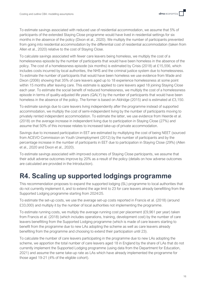To estimate savings associated with reduced use of residential accommodation, we assume that 5% of participants of the extended Staying Close programme would have lived in residential settings for six months in the absence of the policy (Dixon et al., 2020). We multiply the number of participants prevented from going into residential accommodation by the differential cost of residential accommodation (taken from Allen et al., 2020) relative to the cost of Staying Close.

To calculate savings associated with fewer care leavers being homeless, we multiply the cost of a homelessness episode by the number of participants that would have been homeless in the absence of the policy. The cost of a homelessness episode (six months) is estimated by Crisis (2018) at £15,556, which includes costs incurred by local authorities, the NHS and the criminal justice system due to homelessness. To estimate the number of participants that would have been homeless we use evidence from Wade and Dixon (2006) showing that 35% of care leavers aged up to 18 experience homelessness at some point within 15 months after leaving care. This estimate is applied to care leavers aged 18 joining Staying Close each year. To estimate the social benefit of reduced homelessness, we multiply the cost of a homelessness episode in terms of quality-adjusted life years (QALY) by the number of participants that would have been homeless in the absence of the policy. The former is based on Aldridge (2015) and is estimated at £3,150.

To estimate savings due to care leavers living independently after the programme instead of supported accommodation, we multiply the cost of semi-independent living by the number of participants moving to privately rented independent accommodation. To estimate the latter, we use evidence from Heerde et al. (2018) on the average increase in independent living due to participation in Staying Close (27%) and assume that 50% of this increase relates to increased take-up of private accommodation.

Savings due to increased participation in EET are estimated by multiplying the cost of being NEET (sourced from ACEVO Commission on Youth Unemployment (2012) by the number of participants and by the percentage increase in the number of participants in EET due to participation in Staying Close (29%) (Allen et al., 2020 and Dixon et al., 2020).

To estimate savings associated with improved outcomes of Staying Close participants, we assume that their adult adverse outcomes improve by 20% as a result of the policy (details on how adverse outcomes are calculated are provided in the Introduction).

## <span id="page-18-0"></span>**R4. Scaling up supported lodgings programme**

This recommendation proposes to expand the supported lodging (SL) programme to local authorities that do not currently implement it, and to extend the age limit to 23 for care leavers already benefitting from the Supported Lodging programme starting from 2024/25.

To estimate the set-up costs, we use the average set-up costs reported in Francis et al. (2018) (around £33,000) and multiply it by the number of local authorities not implementing the programme.

To estimate running costs, we multiply the average running cost per placement (£9,961 per year) taken from Francis et al. (2018) (which includes operations, training, development cost) by the number of care leavers benefitting from the Supported Lodging programme (which is made of care leavers starting to benefit from the programme due to new LAs adopting the scheme as well as care leavers already benefiting from the programme and choosing to extend their participation until 23).

To calculate the number of care leavers participating in the programme due to new LAs adopting the scheme, we apportion the total number of care leavers aged 18 in England by the share of LAs that do not currently implement the Supported Lodging programme (using data from the Department for Education, 2021) and assume the same take-up rate as LAs which have already implemented the programme for those aged 19-21 (4% of the eligible cohort).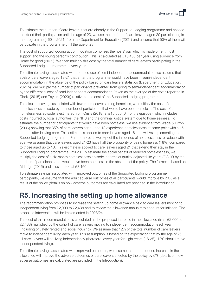To estimate the number of care leavers that are already in the Supported Lodging programme and choose to extend their participation until the age of 23, we use the number of care leavers aged 20 participating in the programme (460 in 2021) from the Department for Education (2021) and assume that 50% of them will participate in the programme until the age of 23.

The cost of supported lodging accommodation comprises the hosts' pay which is made of rent, host support and the young person's contribution. This is calculated as £10,400 per year using evidence from Home for good (2021). We then multiply this cost by the total number of care leavers participating in the Supported Lodging programme every year.

To estimate savings associated with reduced use of semi-independent accommodation, we assume that 30% of care leavers aged 18-21 that enter the programme would have been in semi-independent accommodation in the absence of the policy based on care leavers statistics (Department for Education, 2021b). We multiply the number of participants prevented from going to semi-independent accommodation by the differential cost of semi-independent accommodation (taken as the average of the costs reported in Clark, (2015) and Taylor, (2020)) relative to the cost of the Supported Lodging programme.

To calculate savings associated with fewer care leavers being homeless, we multiply the cost of a homelessness episode by the number of participants that would have been homeless. The cost of a homelessness episode is estimated from Crisis (2018) at £15,556 (6 months episode), which includes costs incurred by local authorities, the NHS and the criminal justice system due to homelessness. To estimate the number of participants that would have been homeless, we use evidence from Wade & Dixon (2006) showing that 35% of care leavers aged up to 18 experience homelessness at some point within 15 months after leaving care. This estimate is applied to care leavers aged 18 in new LAs implementing the Supported Lodging programme. Furthermore, as we expect the incidence of homelessness to reduce with age, we assume that care leavers aged 21-23 have half the probability of being homeless (18%) compared to those aged up to 18. This estimate is applied to care leavers aged 21 that extend their stay in the Supported Lodging programme until 23. To estimate the social benefit of reduced homelessness, we multiply the cost of a six-month homelessness episode in terms of quality-adjusted life years (QALY) by the number of participants that would have been homeless in the absence of the policy. The former is based on Aldridge (2015) and is estimated at £3,150.

To estimate savings associated with improved outcomes of the Supported Lodging programme participants, we assume that the adult adverse outcomes of all participants would improve by 20% as a result of the policy (details on how adverse outcomes are calculated are provided in the Introduction).

### <span id="page-19-0"></span>**R5. Increasing the setting up home allowance**

The recommendation proposes to increase the setting up home allowance paid to care leavers moving to independent living from £2,000 to £2,438 and to review the allowance annually to account for inflation. The proposed intervention will be implemented in 2023/24

The cost of this recommendation is calculated as the proposed increase in the allowance (from £2,000 to £2,438) multiplied by the cohort of care leavers moving to independent accommodation each year (including privately rented and social housing). We assume that 12% of the total number of care leavers move to independent living each year. This assumption is based on the expectation that by the age of 25, all care leavers will be living independently (therefore, every year for eight years (18-25), 12% should move to independent living).

To estimate savings associated with improved outcomes, we assume that the proposed increase in the allowance will improve the adverse outcomes of care leavers affected by the policy by 5% (details on how adverse outcomes are calculated are provided in the Introduction).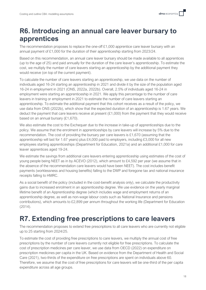### <span id="page-20-0"></span>**R6. Introducing an annual care leaver bursary to apprentices**

The recommendation proposes to replace the one-off £1,000 apprentice care leaver bursary with an annual payment of £1,000 for the duration of their apprenticeship starting from 2023/24.

Based on this recommendation, an annual care leaver bursary should be made available to all apprentices (up to the age of 25) and paid annually for the duration of the care leaver's apprenticeship. To estimate the cost, we multiply the number of care leavers starting an apprenticeship by the additional payment they would receive (on top of the current payment).

To calculate the number of care leavers starting an apprenticeship, we use data on the number of individuals aged 16-24 starting an apprenticeship in 2021 and divide it by the size of the population aged 16-24 in employment in 2021 (ONS, 2022a, 2022b). Overall, 2.5% of individuals aged 16-24 in employment were starting an apprenticeship in 2021. We apply this percentage to the number of care leavers in training or employment in 2021 to estimate the number of care leavers starting an apprenticeship. To estimate the additional payment that this cohort receives as a result of the policy, we use data from ONS (2022b), which show that the expected duration of an apprenticeship is 1.67 years. We deduct the payment that care leavers receive at present  $(E1,000)$  from the payment that they would receive based on an annual bursary (£1,670).

We also estimate the cost to the Exchequer due to the increase in take-up of apprenticeships due to the policy. We assume that the enrolment in apprenticeships by care leavers will increase by 5% due to the recommendation. The cost of providing the bursary per care leavers is £1,670 (assuming that the apprenticeship will last for 1.67 years) plus £4,000 paid to employers, including £3,000 for all new employees starting apprenticeships (Department for Education, 2021a) and an additional £1,000 for care leaver apprentices aged 19-24.

We estimate the savings from additional care leavers entering apprenticeship using estimates of the cost of young people being NEET as in by ACEVO (2012), which amount to £4,592 per year (we assume that in the absence of the recommendation care leavers would have been NEET). The cost includes benefit payments (worklessness and housing benefits) falling to the DWP and foregone tax and national insurance receipts falling to HMRC.

As a social benefit of the policy (included in the cost-benefit analysis only), we calculate the productivity gains due to increased enrolment in an apprenticeship degree. We use evidence on the yearly marginal lifetime benefit of an Apprenticeship degree (which includes wage and employment returns of an apprenticeship degree, as well as non-wage labour costs such as National Insurance and pensions contributions), which amounts to £2,899 per annum throughout the working life (Department for Education (2014).

### <span id="page-20-1"></span>**R7. Extending free prescriptions to care leavers**

The recommendation proposes to extend free prescriptions to all care leavers who are currently not eligible up to 25 starting from 2024/25.

To estimate the cost of providing free prescriptions to care leavers, we multiply the annual cost of free prescriptions by the number of care leavers currently not eligible for free prescriptions. To calculate the cost of prescription medicines per care leaver, we use data from OECD (2022) on expenditure on prescription medicines per capita in the UK. Based on evidence from the Department of Health and Social Care (2021), two-thirds of the expenditure on free prescriptions are spent on individuals above 60. Therefore, we assume that the cost of free prescriptions for care leavers will be one-third of the per capita expenditure across all age groups.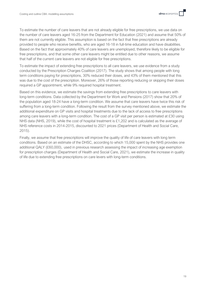To estimate the number of care leavers that are not already eligible for free prescriptions, we use data on the number of care leavers aged 16-25 from the Department for Education (2021) and assume that 50% of them are not currently eligible. This assumption is based on the fact that free prescriptions are already provided to people who receive benefits, who are aged 16-18 in full-time education and have disabilities. Based on the fact that approximately 40% of care leavers are unemployed, therefore likely to be eligible for free prescriptions, and that some other care leavers might be entitled due to other reasons, we assume that half of the current care leavers are not eligible for free prescriptions.

To estimate the impact of extending free prescriptions to all care leavers, we use evidence from a study conducted by the Prescription Charges Coalition (2017). The study shows that among people with long term conditions paying for prescriptions, 30% reduced their doses, and 43% of them mentioned that this was due to the cost of the prescription. Moreover, 26% of those reporting reducing or skipping their doses required a GP appointment, while 9% required hospital treatment.

Based on this evidence, we estimate the savings from extending free prescriptions to care leavers with long-term conditions. Data collected by the Department for Work and Pensions (2017) show that 20% of the population aged 18-24 have a long-term condition. We assume that care leavers have twice this risk of suffering from a long-term condition. Following the result from the survey mentioned above, we estimate the additional expenditure on GP visits and hospital treatments due to the lack of access to free prescriptions among care leavers with a long-term condition. The cost of a GP visit per person is estimated at £30 using NHS data (NHS, 2019), while the cost of hospital treatment is £1,202 and is calculated as the average of NHS reference costs in 2014-2015, discounted to 2021 prices (Department of Health and Social Care, 2015).

Finally, we assume that free prescriptions will improve the quality of life of care leavers with long term conditions. Based on an estimate of the DHSC, according to which 15,000 spent by the NHS provides one additional QALY (£60,000), used in previous research assessing the impact of increasing age exemption for prescription charges (Department of Health and Social Care, 2021), we estimate the increase in quality of life due to extending free prescriptions on care levers with long-term conditions.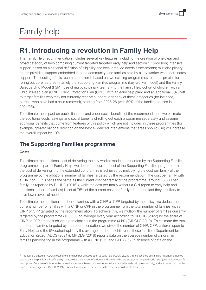# <span id="page-22-0"></span>Family help

## <span id="page-22-1"></span>**R1. Introducing a revolution in Family Help**

The Family Help recommendation includes several key features, including the creation of one clear and broad category of help combining current targeted targeted early help and section 17 provision; intensive support based on a national definition of eligibility and local data-led needs assessments; multidisciplinary teams providing support embedded into the community; and families held by a key-worker who coordinates support. The costing of this recommendation is based on two existing programmes to act as proxies for rolling out core features - namely the Supporting Families programme (key-worker model) and the Family Safeguarding Model (FSM) (use of multidisciplinary teams) - to the Family Help cohort of children with a Child in Need plan (CiNP), Child Protection Plan (CPP), with an early help plan<sup>6</sup> and an additional 5% uplift to target families who may not currently receive support under any of these categories (for instance, parents who have had a child removed), starting from 2025-26 (with 50% of the funding phased in 2024/25).

To estimate the impact on public finances and wider social benefits of the recommendation, we estimate the additional costs, savings and social benefits of rolling out each programme separately and assume additional benefits that come from features of this policy which are not included in these programmes (for example, greater national direction on the best evidenced interventions that areas should use) will increase the overall impact by 10%.

#### <span id="page-22-2"></span>**The Supporting Families programme**

#### **Costs**

To estimate the additional cost of delivering the key-worker model represented by the Supporting Families programme as part of Family Help, we deduct the current cost of the Supporting Families programme from the cost of delivering it to the extended cohort. This is achieved by multiplying the cost per family of the programme by the additional number of families targeted by the recommendation. The cost per family with a CINP or CPP is set as the same as the current cost per family of the programme (around £3,300 per family, as reported by DLUHC (2016)), while the cost per family without a CIN (open to early help and additional cohort of families) is set at 75% of the current cost per family, due to the fact they are likely to have lower levels of need.

To estimate the additional number of families with a CiNP or CPP targeted by the policy, we deduct the current number of families with a CiNP or CPP in the programme from the total number of families with a CINP or CPP targeted by the recommendation. To achieve this, we multiply the number of families currently targeted by the programme (100,000 on average every year according to DLUHC (2022) by the share of CiNP or CPP amongst children participating in the programme (41%) (MHCLG 2019). To estimate the total number of families targeted by the recommendation, we divide the number of CiNP, CPP, children open to Early Help and the 5% cohort uplift by the average number of children in these families (Department for Education (2020) ADCS (2021)). MHCLG (2018) reports data on the average number of children in families participating in the programme with a CINP (2.5) and CPP (2.6). In absence of data on the

<sup>&</sup>lt;sup>6</sup> This figure is based on ADCS's estimate of the number of cases open to early help (ADCS, 2021a). In the absence of standard nationally collected data at early help, this is a helpful proxy measure for the number of children and families who are subject to "targeted early help" (see review report for description of our use of this term) because the number is based on cases open to local authority early help provision only, and not cases that may be open to partner agencies (ADCS, 2021a). Whilst this data is not perfect, it is the best data available to the review.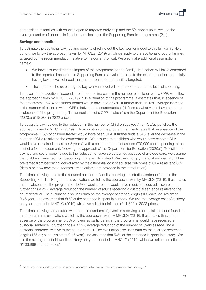composition of families with children open to targeted early help and the 5% cohort uplift, we use the average number of children in families participating in the Supporting Families programme (2.1).

#### **Savings and benefits**

To estimate the additional savings and benefits of rolling out the key-worker model to this full Family Help cohort, we follow the approach taken by MHCLG (2019) which we apply to the additional group of families targeted by the recommendation relative to the current roll out. We also make additional assumptions, namely:

- We have assumed that the impact of the programme on the Family Help cohort will halve compared to the reported impact in the Supporting Families' evaluation due to the extended cohort potentially having lower levels of need than the current cohort of families targeted.
- The impact of the extending the key-worker model will be proportionate to the level of spending.

To calculate the additional expenditure due to the increase in the number of children with a CPP, we follow the approach taken by MHCLG (2019) in its evaluation of the programme. It estimates that, in absence of the programme, 6.4% of children treated would have had a CPP. It further finds an 18% average increase in the number of children with a CPP relative to the counterfactual (defined as what would have happened in absence of the programme). The annual cost of a CPP is taken from the Department for Education (2020c) (£18,200 in 2022 prices).

To calculate savings due to the reduction in the number of Children Looked After (CLA), we follow the approach taken by MHCLG (2019) in its evaluation of the programme. It estimates that, in absence of the programme, 1.6% of children treated would have been CLA. It further finds a 34% average decrease in the number of CLA relative to the counterfactual. We assume that children who would have become CLA would have remained in care for 3 years<sup>7</sup>, with a cost per annum of around £70,000 (corresponding to the cost of a foster placement, following the approach of the Department for Education (2020a)). To estimate savings and social benefits due to the reduction of adverse outcomes because of avoided care, we assume that children prevented from becoming CLA are CIN instead. We then multiply the total number of children prevented from becoming looked after by the differential cost of adverse outcomes of CLA relative to CIN (details on how adverse outcomes are calculated are provided in the Introduction).

To estimate savings due to the reduced numbers of adults receiving a custodial sentence found in the Supporting Families Programme's evaluation, we follow the approach taken by MHCLG (2019). It estimates that, in absence of the programme, 1.6% of adults treated would have received a custodial sentence. It further finds a 25% average reduction the number of adults receiving a custodial sentence relative to the counterfactual. The evaluation also uses data on the average sentence length (165 days, equivalent to 0.45 year) and assumes that 50% of the sentence is spent in custody. We use the average cost of custody per year reported in MHCLG (2019) which we adjust for inflation (£41,820 in 2022 prices).

To estimate savings associated with reduced numbers of juveniles receiving a custodial sentence found in the programme's evaluation, we follow the approach taken by MHCLG (2019). It estimates that, in the absence of the programme, 0.8% of juveniles participating in the programme would have received a custodial sentence. It further finds a 37.5% average reduction of the number of juveniles receiving a custodial sentence relative to the counterfactual. The evaluation also uses data on the average sentence length (165 days, equivalent to 0.45 year) and assumes that 50% of the sentence is spent in custody. We use the average cost of juvenile custody per year reported in MHCLG (2019) which we adjust for inflation (£103,969 in 2022 prices).

 $^7$  This assumption is standard across our models. For more detail on how we reached this assumption, see page 7.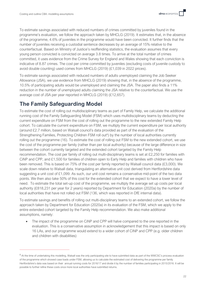To estimate savings associated with reduced numbers of crimes committed by juveniles found in the programme's evaluation, we follow the approach taken by MHCLG (2019). It estimates that, in the absence of the programme, 4.6% of juveniles in the programme would have been convicted. It further finds that the number of juveniles receiving a custodial sentence decreases by an average of 15% relative to the counterfactual. Based on Ministry of Justice's reoffending statistics, the evaluation assumes that every young person convicted is convicted on average 3.8 times. To arrive at the total number of crimes committed, it uses evidence from the Crime Survey for England and Wales showing that each conviction is indicative of 8.87 crimes. The cost per crime committed by juveniles (excluding costs of juvenile custody to avoid double counting) used comes from MHCLG (2019) (£1,039 in 2022 prices).

To estimate savings associated with reduced numbers of adults unemployed claiming the Job Seeker Allowance (JSA), we use evidence from MHCLG (2019) showing that, in the absence of the programme, 10.5% of participating adults would be unemployed and claiming the JSA. The paper also finds a 11% reduction in the number of unemployed adults claiming the JSA relative to the counterfactual. We use the average cost of JSA per year reported in MHCLG (2019) (£12,657).

#### <span id="page-24-0"></span>**The Family Safeguarding Model**

To estimate the cost of rolling out multidisciplinary teams as part of Family Help, we calculate the additional running cost of the Family Safeguarding Model (FSM) which uses multidisciplinary teams by deducting the current expenditure on FSM from the cost of rolling out the programme to the new extended Family Help cohort. To calculate the current expenditure on FSM, we multiply the current expenditure per local authority (around £2.7 million, based on Walsall council's data provided as part of the evaluation of the Strengthening Families, Protecting Children FSM roll out<sup>8</sup>) by the number of local authorities currently rolling out the programme (16). To estimate the cost of rolling out FSM to the new extended cohort, we use the cost of the programme per family (rather than per local authority) because of the large difference in size between the cohort currently targeted and the extended cohort targeted by the Family Help recommendation. The cost per family of rolling out multi-disciplinary teams is set at £2,250 for families with CiNP and CPP, and £1,500 for families of children open to Early Help and families with children who have been removed. This is based on 75% of the cost per family reported by Walsall council data (£3,000). We scale down relative to Walsall data, triangulating an alternative unit cost derived from Hertfordshire data suggesting a unit cost of £1,099. As such, our unit cost remains a conservative mid-point of the two data points. We then also take 50% of this cost for the extended cohort that we expect to have a lower level of need. To estimate the total set-up cost of the programme, we multiply the average set up costs per local authority (£818,231 per year for 2 years) reported by Department for Education (2020a) by the number of local authorities that have not rolled out FSM (136, which was reported in DfE internal data).

To estimate savings and benefits of rolling out multi-disciplinary teams to an extended cohort, we follow the approach taken by Department for Education (2020a) in its evaluation of the FSM, which we apply to the entire extended cohort targeted by the Family Help recommendation. We also make additional assumptions, namely:

The impact of the programme on CiNP and CPP will halve compared to the one reported in the evaluation. This is a conservative assumption in acknowledgement that this impact is based on only 16 LAs, and our programme would extend to a wider cohort of CINP and CPP (e.g. older children and children with disabilities)

 $8$  At the time of undertaking this modelling, Walsall was the only participating site to have submitted data as part of the WWCSC's process evaluation of the programme which showed case loads under FSM, allowing us to calculate the estimated cost of delivering the programme per family Hertfordshire's data was based on their annual running costs for 2016/17 and divide it by the number of families participating in 2015/2016. It will be possible to further refine these costs once more local authorities have submitted returns.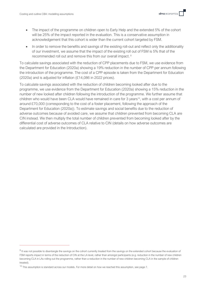- The impact of the programme on children open to Early Help and the extended 5% of the cohort will be 25% of the impact reported in the evaluation. This is a conservative assumption in acknowledgement that this cohort is wider than the current cohort targeted by FSM.
- In order to remove the benefits and savings of the existing roll-out and reflect only the additionality of our investment, we assume that the impact of the existing roll out of FSM is 5% that of the recommended roll out and remove this from our overall impact.<sup>9</sup>

To calculate savings associated with the reduction of CPP placements due to FSM, we use evidence from the Department for Education (2020a) showing a 19% reduction in the number of CPP per annum following the introduction of the programme. The cost of a CPP episode is taken from the Department for Education (2020a) and is adjusted for inflation (£14,086 in 2022 prices).

To calculate savings associated with the reduction of children becoming looked after due to the programme, we use evidence from the Department for Education (2020a) showing a 15% reduction in the number of new looked after children following the introduction of the programme. We further assume that children who would have been CLA would have remained in care for 3 years<sup>10</sup>, with a cost per annum of around £70,000 (corresponding to the cost of a foster placement, following the approach of the Department for Education (2020a)). To estimate savings and social benefits due to the reduction of adverse outcomes because of avoided care, we assume that children prevented from becoming CLA are CIN instead. We then multiply the total number of children prevented from becoming looked after by the differential cost of adverse outcomes of CLA relative to CIN (details on how adverse outcomes are calculated are provided in the Introduction).

 $9$  It was not possible to disentangle the savings on the cohort currently treated from the savings on the extended cohort because the evaluation of FSM reports impact in terms of the reduction of CIN at the LA level, rather than amongst participants (e.g. reduction in the number of new children becoming CLA in LAs rolling out the programme, rather than a reduction in the number of new children becoming CLA in the sample of children treated).

 $10$  This assumption is standard across our models. For more detail on how we reached this assumption, see page 7.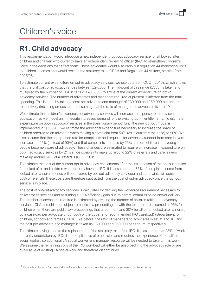# <span id="page-26-0"></span>Children's voice

## <span id="page-26-1"></span>**R1. Child advocacy**

This recommendation would introduce a new independent, opt-out advocacy service for all looked after children and children who currently have an independent reviewing officer (IRO) to strengthen children's voice in the decisions that affect them. These advocates would also carry out regulation 44 monitoring visits to children's homes and would replace the statutory role of IROs and Regulation 44 visitors, starting from 2025/26.

To estimate current expenditure on opt-in advocacy services, we use data from CCO, (2016), which shows that the unit cost of advocacy ranges between £2-£668. The mid-point of this range (£333) is taken and multiplied by the number of CLA in 2020/21 (80,850) to arrive at the current expenditure on opt-in advocacy services. The number of advocates and managers required at present is inferred from the total spending. This is done by taking a cost per advocate and manager of £30,000 and £60,000 per annum, respectively (including on-costs) and assuming that the ratio of managers to advocates is 1 to 10.

We estimate that children's awareness of advocacy services will increase in response to the review's publication, so we model an immediate increased demand for the existing opt-in entitlements. To estimate expenditure on opt-in advocacy services in the transitionary period (until the new opt-out model is implemented in 2025/26), we estimate the additional expenditure necessary to increase the share of children referred to an advocate when making a complaint from 50% (as is currently the case) to 90%. We also assume that the acceptance rate for complaints and requests for advocacy support from care leavers increases to 95% (instead of 90%) and that complaints increase by 25% as more children and young people become aware of advocacy. These changes are estimated to require an increase in expenditure on opt-in advocacy services by 21% since complaints make up around 22% of referrals and care leavers make up around 66% of all referrals (CCO, 2019).

To estimate the cost of the current opt-in advocacy entitlements after the introduction of the opt-out service for looked after and children who currently have an IRO, it is assumed that 75% of complaints come from looked after children (hence will be covered by opt-out advocacy services) and complaints will constitute 33% of referrals.These costs are therefore subtracted from the cost of opt-in advocacy once the opt-out service is in place.

The cost of opt-out advocacy services is calculated by deriving the workforce requirement necessary to deliver these services and assuming a 10% efficiency gain due to central commissioning and/or delivery. The number of advocates required is estimated by dividing the number of children taking up advocacy services (CLA and children subject to public law proceedings<sup>11</sup>, with the take-up rate assumed at 95% for children when there are public law proceedings that affect them and 30% for all other looked after children) by a caseload per advocate of 35 (50% of the upper end recommended IRO caseload) (Department for children, schools and families, 2010). As before, the ratio of managers to advocates is set at 1 to 10, and the cost per advocate and manager is taken as £30,000 and £60,000 per annum, respectively.

To estimate savings due to the replacement of the statutory role of the IRO, it is assumed that 25% of work currently undertaken by IROs is not duplicative of other roles and requires the experience of a qualified social worker, so additional LA social worker and manager resource will be needed to take on this work. We assume the remaining 75% of the IRO workload will either be absorbed into the advocacy role or are duplicative of existing LA social work and therefore discontinued.

<sup>&</sup>lt;sup>11</sup> The number of new CLA is excluded from the number of children in public law proceedings to avoid double counting.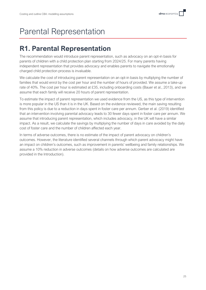# <span id="page-27-0"></span>Parental Representation

## <span id="page-27-1"></span>**R1. Parental Representation**

The recommendation would introduce parent representation, such as advocacy on an opt-in basis for parents of children with a child protection plan starting from 2024/25. For many parents having independent representation that provides advocacy and enables parents to navigate the emotionally charged child protection process is invaluable.

We calculate the cost of introducing parent representation on an opt-in basis by multiplying the number of families that would enrol by the cost per hour and the number of hours of provided. We assume a take-up rate of 40%. The cost per hour is estimated at £35, including onboarding costs (Bauer et al., 2013), and we assume that each family will receive 20 hours of parent representation.

To estimate the impact of parent representation we used evidence from the US, as this type of intervention is more popular in the US than it is in the UK. Based on the evidence reviewed, the main saving resulting from this policy is due to a reduction in days spent in foster care per annum. Gerber et al. (2019) identified that an intervention involving parental advocacy leads to 30 fewer days spent in foster care per annum. We assume that introducing parent representation, which includes advocacy, in the UK will have a similar impact. As a result, we calculate the savings by multiplying the number of days in care avoided by the daily cost of foster care and the number of children affected each year.

In terms of adverse outcomes, there is no estimate of the impact of parent advocacy on children's outcomes. However, the literature identified several channels through which parent advocacy might have an impact on children's outcomes, such as improvement in parents' wellbeing and family relationships. We assume a 10% reduction in adverse outcomes (details on how adverse outcomes are calculated are provided in the Introduction).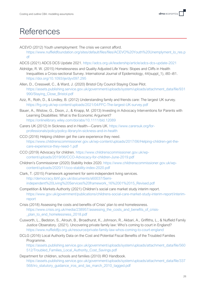## <span id="page-28-0"></span>References

- ACEVO (2012) Youth unemployment: The crisis we cannot afford. [https://www.nuffieldfoundation.org/sites/default/files/files/ACEVO%20Youth%20Unemplyment\\_lo\\_res.p](https://www.nuffieldfoundation.org/sites/default/files/files/ACEVO%20Youth%20Unemplyment_lo_res.pdf) [df](https://www.nuffieldfoundation.org/sites/default/files/files/ACEVO%20Youth%20Unemplyment_lo_res.pdf)
- ADCS (2021) ADCS DCS Update 2021.<https://adcs.org.uk/leadership/article/adcs-dcs-update-2021>
- Aldridge, R. W. (2015) Homelessness and Quality Adjusted Life Years: Slopes and Cliffs in Health Inequalities a Cross-sectional Survey. International Journal of Epidemiology, 44(suppl\_1), i80–i81. <https://doi.org/10.1093/ije/dyv097.295>
- Allen, D., Cresswell, C., & Ward, J. (2020) Bristol City Council Staying Close Pilot. [https://assets.publishing.service.gov.uk/government/uploads/system/uploads/attachment\\_data/file/931](https://assets.publishing.service.gov.uk/government/uploads/system/uploads/attachment_data/file/931990/Staying_Close_Bristol.pdf) [990/Staying\\_Close\\_Bristol.pdf](https://assets.publishing.service.gov.uk/government/uploads/system/uploads/attachment_data/file/931990/Staying_Close_Bristol.pdf)
- Aziz, R., Roth, D., & Lindley, B. (2012) Understanding family and friends care: The largest UK survey. <https://frg.org.uk/wp-content/uploads/2021/04/FFC-The-largest-UK-survey.pdf>
- Bauer, A., Wistow, G., Dixon, J., & Knapp, M. (2013) Investing in Advocacy Interventions for Parents with Learning Disabilities: What is the Economic Argument? <https://onlinelibrary.wiley.com/doi/abs/10.1111/bld.12089>
- Carers UK (2012) In Sickness and in Health—Carers UK[. https://www.carersuk.org/for](https://www.carersuk.org/for-professionals/policy/policy-library/in-sickness-and-in-health)[professionals/policy/policy-library/in-sickness-and-in-health](https://www.carersuk.org/for-professionals/policy/policy-library/in-sickness-and-in-health)
- CCO (2016) Helping children get the care experience they need. [https://www.childrenscommissioner.gov.uk/wp-content/uploads/2017/06/Helping-children-get-the](https://www.childrenscommissioner.gov.uk/wp-content/uploads/2017/06/Helping-children-get-the-care-experience-they-need-1.pdf)[care-experience-they-need-1.pdf](https://www.childrenscommissioner.gov.uk/wp-content/uploads/2017/06/Helping-children-get-the-care-experience-they-need-1.pdf)
- CCO (2019) Advocacy for children. [https://www.childrenscommissioner.gov.uk/wp](https://www.childrenscommissioner.gov.uk/wp-content/uploads/2019/06/CCO-Advocacy-for-children-June-2019.pdf)[content/uploads/2019/06/CCO-Advocacy-for-children-June-2019.pdf](https://www.childrenscommissioner.gov.uk/wp-content/uploads/2019/06/CCO-Advocacy-for-children-June-2019.pdf)
- Children's Commissioner (2020) Stability Index 2020. [https://www.childrenscommissioner.gov.uk/wp](https://www.childrenscommissioner.gov.uk/wp-content/uploads/2020/11/cco-stability-index-2020.pdf)[content/uploads/2020/11/cco-stability-index-2020.pdf](https://www.childrenscommissioner.gov.uk/wp-content/uploads/2020/11/cco-stability-index-2020.pdf)
- Clark, T. (2015) Framework agreement for semi-independent living services. [http://democracy.lbhf.gov.uk/documents/s60037/Semi](http://democracy.lbhf.gov.uk/documents/s60037/Semi-independent%20Living%20Services%20framework_16%2001%2015_Revised.pdf)[independent%20Living%20Services%20framework\\_16%2001%2015\\_Revised.pdf](http://democracy.lbhf.gov.uk/documents/s60037/Semi-independent%20Living%20Services%20framework_16%2001%2015_Revised.pdf)
- Competition & Markets Authority (2021) Children's social care market study interim report. [https://www.gov.uk/government/publications/childrens-social-care-market-study-interim-report/interim](https://www.gov.uk/government/publications/childrens-social-care-market-study-interim-report/interim-report)[report](https://www.gov.uk/government/publications/childrens-social-care-market-study-interim-report/interim-report)
- Crisis (2018) Assessing the costs and benefits of Crisis' plan to end homelessness. [https://www.crisis.org.uk/media/238957/assessing\\_the\\_costs\\_and\\_benefits\\_of\\_crisis-](https://www.crisis.org.uk/media/238957/assessing_the_costs_and_benefits_of_crisis-_plan_to_end_homelessness_2018.pdf) [\\_plan\\_to\\_end\\_homelessness\\_2018.pdf](https://www.crisis.org.uk/media/238957/assessing_the_costs_and_benefits_of_crisis-_plan_to_end_homelessness_2018.pdf)
- Cusworth, L., Bedston, S., Alrouh, B., Broadhurst, K., Johnson, R., Akbari, A., Griffiths, L., & Nuffield Family Justice Obseratory. (2021). Uncovering private family law: Who's coming to court in England? <https://www.nuffieldfjo.org.uk/resource/private-family-law-whos-coming-to-court-england>
- DCLG (2016) Local Authority Data on the Cost and Potential Fiscal Benefits of the Troubled Families Programme. [https://assets.publishing.service.gov.uk/government/uploads/system/uploads/attachment\\_data/file/560](https://assets.publishing.service.gov.uk/government/uploads/system/uploads/attachment_data/file/560512/Troubled_Families_Local_Authority_Cost_Savings.pdf) [512/Troubled\\_Families\\_Local\\_Authority\\_Cost\\_Savings.pdf](https://assets.publishing.service.gov.uk/government/uploads/system/uploads/attachment_data/file/560512/Troubled_Families_Local_Authority_Cost_Savings.pdf)
- Department for children, schools and families (2010) IRO Handbook. [https://assets.publishing.service.gov.uk/government/uploads/system/uploads/attachment\\_data/file/337](https://assets.publishing.service.gov.uk/government/uploads/system/uploads/attachment_data/file/337568/iro_statutory_guidance_iros_and_las_march_2010_tagged.pdf) [568/iro\\_statutory\\_guidance\\_iros\\_and\\_las\\_march\\_2010\\_tagged.pdf](https://assets.publishing.service.gov.uk/government/uploads/system/uploads/attachment_data/file/337568/iro_statutory_guidance_iros_and_las_march_2010_tagged.pdf)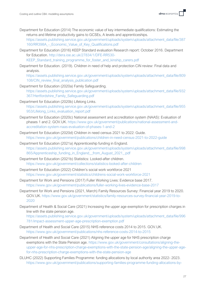Department for Education (2014) The economic value of key intermediate qualifications: Estimating the returns and lifetime productivity gains to GCSEs, A levels and apprenticeships.

[https://assets.publishing.service.gov.uk/government/uploads/system/uploads/attachment\\_data/file/387](https://assets.publishing.service.gov.uk/government/uploads/system/uploads/attachment_data/file/387160/RR398A_-_Economic_Value_of_Key_Qualifications.pdf) [160/RR398A\\_-\\_Economic\\_Value\\_of\\_Key\\_Qualifications.pdf](https://assets.publishing.service.gov.uk/government/uploads/system/uploads/attachment_data/file/387160/RR398A_-_Economic_Value_of_Key_Qualifications.pdf)

Department for Education (2016) KEEP Standard evaluation Research report: October 2016. Department for Education. [http://dera.ioe.ac.uk/27834/1/DFE-RR530-](http://dera.ioe.ac.uk/27834/1/DFE-RR530-KEEP_Standard_training_programme_for_foster_and_kinship_carers.pdf)

[KEEP\\_Standard\\_training\\_programme\\_for\\_foster\\_and\\_kinship\\_carers.pdf](http://dera.ioe.ac.uk/27834/1/DFE-RR530-KEEP_Standard_training_programme_for_foster_and_kinship_carers.pdf)

Department for Education. (2019). Children in need of help and protection CIN review: Final data and analysis.

[https://assets.publishing.service.gov.uk/government/uploads/system/uploads/attachment\\_data/file/809](https://assets.publishing.service.gov.uk/government/uploads/system/uploads/attachment_data/file/809108/CIN_review_final_analysis_publication.pdf) 108/CIN review final analysis publication.pdf

- Department for Education (2020a) Family Safeguarding. [https://assets.publishing.service.gov.uk/government/uploads/system/uploads/attachment\\_data/file/932](https://assets.publishing.service.gov.uk/government/uploads/system/uploads/attachment_data/file/932367/Hertfordshire_Family_Safeguarding.pdf) [367/Hertfordshire\\_Family\\_Safeguarding.pdf](https://assets.publishing.service.gov.uk/government/uploads/system/uploads/attachment_data/file/932367/Hertfordshire_Family_Safeguarding.pdf)
- Department for Education (2020b) Lifelong Links. [https://assets.publishing.service.gov.uk/government/uploads/system/uploads/attachment\\_data/file/955](https://assets.publishing.service.gov.uk/government/uploads/system/uploads/attachment_data/file/955953/Lifelong_Links_evaluation_report.pdf) [953/Lifelong\\_Links\\_evaluation\\_report.pdf](https://assets.publishing.service.gov.uk/government/uploads/system/uploads/attachment_data/file/955953/Lifelong_Links_evaluation_report.pdf)
- Department for Education (2020c) National assessment and accreditation system (NAAS): Evaluation of phases 1 and 2. GOV.UK. [https://www.gov.uk/government/publications/national-assessment-and](https://www.gov.uk/government/publications/national-assessment-and-accreditation-system-naas-evaluation-of-phases-1-and-2)[accreditation-system-naas-evaluation-of-phases-1-and-2](https://www.gov.uk/government/publications/national-assessment-and-accreditation-system-naas-evaluation-of-phases-1-and-2)
- Department for Education (2020d) Children in need census 2021 to 2022: Guide. <https://www.gov.uk/government/publications/children-in-need-census-2021-to-2022-guide>
- Department for Education (2021a) Apprenticeship funding in England. [https://assets.publishing.service.gov.uk/government/uploads/system/uploads/attachment\\_data/file/998](https://assets.publishing.service.gov.uk/government/uploads/system/uploads/attachment_data/file/998865/Apprenticeship_funding_in_England__from_August_2021_.pdf) [865/Apprenticeship\\_funding\\_in\\_England\\_\\_from\\_August\\_2021\\_.pdf](https://assets.publishing.service.gov.uk/government/uploads/system/uploads/attachment_data/file/998865/Apprenticeship_funding_in_England__from_August_2021_.pdf)
- Department for Education (2021b) Statistics: Looked-after children. <https://www.gov.uk/government/collections/statistics-looked-after-children>
- Department for Education (2022) Children's social work workforce 2021 <https://www.gov.uk/government/statistics/childrens-social-work-workforce-2021>
- Department for Work and Pensions (2017) Fuller Working Lives: Evidence base 2017. <https://www.gov.uk/government/publications/fuller-working-lives-evidence-base-2017>
- Department for Work and Pensions (2021, March) Family Resources Survey: Financial year 2019 to 2020. GOV.UK. [https://www.gov.uk/government/statistics/family-resources-survey-financial-year-2019-to-](https://www.gov.uk/government/statistics/family-resources-survey-financial-year-2019-to-2020)[2020](https://www.gov.uk/government/statistics/family-resources-survey-financial-year-2019-to-2020)
- Department of Health & Social Care (2021) Increasing the upper age exemption for prescription charges in line with the state pension age.

[https://assets.publishing.service.gov.uk/government/uploads/system/uploads/attachment\\_data/file/996](https://assets.publishing.service.gov.uk/government/uploads/system/uploads/attachment_data/file/996781/impact-assessment-upper-age-prescription-exemption.pdf) [781/impact-assessment-upper-age-prescription-exemption.pdf](https://assets.publishing.service.gov.uk/government/uploads/system/uploads/attachment_data/file/996781/impact-assessment-upper-age-prescription-exemption.pdf)

- Department of Health and Social Care (2015) NHS reference costs 2014 to 2015. GOV.UK. <https://www.gov.uk/government/publications/nhs-reference-costs-2014-to-2015>
- Department of Health and Social Care (2021) Aligning the upper age for NHS prescription charge exemptions with the State Pension age. [https://www.gov.uk/government/consultations/aligning-the](https://www.gov.uk/government/consultations/aligning-the-upper-age-for-nhs-prescription-charge-exemptions-with-the-state-pension-age/aligning-the-upper-age-for-nhs-prescription-charge-exemptions-with-the-state-pension-age)[upper-age-for-nhs-prescription-charge-exemptions-with-the-state-pension-age/aligning-the-upper-age](https://www.gov.uk/government/consultations/aligning-the-upper-age-for-nhs-prescription-charge-exemptions-with-the-state-pension-age/aligning-the-upper-age-for-nhs-prescription-charge-exemptions-with-the-state-pension-age)[for-nhs-prescription-charge-exemptions-with-the-state-pension-age](https://www.gov.uk/government/consultations/aligning-the-upper-age-for-nhs-prescription-charge-exemptions-with-the-state-pension-age/aligning-the-upper-age-for-nhs-prescription-charge-exemptions-with-the-state-pension-age)
- DLUHC (2022) Supporting Families Programme: funding allocations by local authority area 2022- 2023. [https://www.gov.uk/government/publications/supporting-families-programme-funding-allocations-by-](https://www.gov.uk/government/publications/supporting-families-programme-funding-allocations-by-local-authority-area-2022-2023)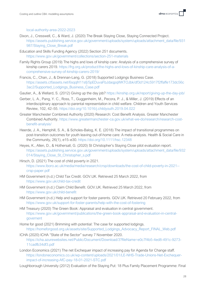[local-authority-area-2022-2023](https://www.gov.uk/government/publications/supporting-families-programme-funding-allocations-by-local-authority-area-2022-2023)

- Dixon, J., Cresswell, C., & Ward, J. (2020) The Break Staying Close, Staying Connected Project. [https://assets.publishing.service.gov.uk/government/uploads/system/uploads/attachment\\_data/file/931](https://assets.publishing.service.gov.uk/government/uploads/system/uploads/attachment_data/file/931987/Staying_Close_Break.pdf) [987/Staying\\_Close\\_Break.pdf](https://assets.publishing.service.gov.uk/government/uploads/system/uploads/attachment_data/file/931987/Staying_Close_Break.pdf)
- Education and Skills Funding Agency (2022) Section 251 documents. <https://www.gov.uk/government/collections/section-251-materials>
- Family Rights Group (2019) The highs and lows of kinship care: Analysis of a comprehensive survey of kinship carers 2019. [https://frg.org.uk/product/the-highs-and-lows-of-kinship-care-analysis-of-a](https://frg.org.uk/product/the-highs-and-lows-of-kinship-care-analysis-of-a-comprehensive-survey-of-kinship-carers-2019/)[comprehensive-survey-of-kinship-carers-2019/](https://frg.org.uk/product/the-highs-and-lows-of-kinship-care-analysis-of-a-comprehensive-survey-of-kinship-carers-2019/)
- Francis, C., Chan, J., & Drennan-Lang, G. (2018) Supported Lodgings Business Case. [https://assets.ctfassets.net/6sqqfrl11sfj/5pEDuvaFbJdaqpqWKTOJbk/df3d124c5917f2ffaffe173dc56c](https://assets.ctfassets.net/6sqqfrl11sfj/5pEDuvaFbJdaqpqWKTOJbk/df3d124c5917f2ffaffe173dc56c3ac2/Supported_Lodgings_Business_Case.pdf) [3ac2/Supported\\_Lodgings\\_Business\\_Case.pdf](https://assets.ctfassets.net/6sqqfrl11sfj/5pEDuvaFbJdaqpqWKTOJbk/df3d124c5917f2ffaffe173dc56c3ac2/Supported_Lodgings_Business_Case.pdf)
- Gautier, A., & Wellard, S. (2012) Giving up the day job?<https://kinship.org.uk/report/giving-up-the-day-job/>
- Gerber, L. A., Pang, Y. C., Ross, T., Guggenheim, M., Pecora, P. J., & Miller, J. (2019) Effects of an interdisciplinary approach to parental representation in child welfare. Children and Youth Services Review, 102, 42–55.<https://doi.org/10.1016/j.childyouth.2019.04.022>
- Greater Manchester Combined Authority (2020) Research: Cost Benefit Analysis. Greater Manchester Combined Authority. [https://www.greatermanchester-ca.gov.uk/what-we-do/research/research-cost](https://www.greatermanchester-ca.gov.uk/what-we-do/research/research-cost-benefit-analysis/)[benefit-analysis/](https://www.greatermanchester-ca.gov.uk/what-we-do/research/research-cost-benefit-analysis/)
- Heerde, J. A., Hemphill, S. A., & Scholes-Balog, K. E. (2018) The impact of transitional programmes on post-transition outcomes for youth leaving out-of-home care: A meta-analysis. Health & Social Care in the Community, 26(1), e15–e30.<https://doi.org/10.1111/hsc.12348>
- Heyes, K., Allen, D., & Hothersall, G. (2020) St Christopher's Staying Close pilot evaluation report. [https://assets.publishing.service.gov.uk/government/uploads/system/uploads/attachment\\_data/file/932](https://assets.publishing.service.gov.uk/government/uploads/system/uploads/attachment_data/file/932014/Staying_Close_St_Christopher_s.pdf) [014/Staying\\_Close\\_St\\_Christopher\\_s.pdf](https://assets.publishing.service.gov.uk/government/uploads/system/uploads/attachment_data/file/932014/Staying_Close_St_Christopher_s.pdf)
- Hirsch, D. (2021) The cost of child poverty in 2021. [https://www.lboro.ac.uk/media/media/research/crsp/downloads/the-cost-of-child-poverty-in-2021-](https://www.lboro.ac.uk/media/media/research/crsp/downloads/the-cost-of-child-poverty-in-2021--crsp-paper.pdf) [crsp-paper.pdf](https://www.lboro.ac.uk/media/media/research/crsp/downloads/the-cost-of-child-poverty-in-2021--crsp-paper.pdf)
- HM Government (n.d.) Child Tax Credit. GOV.UK. Retrieved 25 March 2022, from <https://www.gov.uk/child-tax-credit>
- HM Government (n.d.) Claim Child Benefit. GOV.UK. Retrieved 25 March 2022, from <https://www.gov.uk/child-benefit>
- HM Government (n.d.) Help and support for foster parents. GOV.UK. Retrieved 20 February 2022, from <https://www.gov.uk/support-for-foster-parents/help-with-the-cost-of-fostering>
- HM Treasury (2020) The Green Book: Appraisal and evaluation in central government. [https://www.gov.uk/government/publications/the-green-book-appraisal-and-evaluation-in-central](https://www.gov.uk/government/publications/the-green-book-appraisal-and-evaluation-in-central-governent)[governent](https://www.gov.uk/government/publications/the-green-book-appraisal-and-evaluation-in-central-governent)
- Home for good (2021) Brimming with potential: The case for supported lodgings. [https://homeforgood.org.uk/assets/site/Supported\\_Lodgings\\_Advocacy\\_Report\\_FINAL\\_Web.pdf](https://homeforgood.org.uk/assets/site/Supported_Lodgings_Advocacy_Report_FINAL_Web.pdf)
- ICHA (2020) ICHA "State of the Sector" survey 7 November 2020. [https://icha.azurewebsites.net/Public/Document/Download/3?fileName=e0c7f4b5-4ed8-491c-9273-](https://icha.azurewebsites.net/Public/Document/Download/3?fileName=e0c7f4b5-4ed8-491c-9273-11cadfb34df3.pdf) [11cadfb34df3.pdf](https://icha.azurewebsites.net/Public/Document/Download/3?fileName=e0c7f4b5-4ed8-491c-9273-11cadfb34df3.pdf)
- London Economics (2021) The net Exchequer impact of increasing pay for Agenda for Change staff. [https://londoneconomics.co.uk/wp-content/uploads/2021/01/LE-NHS-Trade-Unions-Net-Exchequer](https://londoneconomics.co.uk/wp-content/uploads/2021/01/LE-NHS-Trade-Unions-Net-Exchequer-impact-of-increasing-AfC-pay-18-01-2021-STC.pdf)[impact-of-increasing-AfC-pay-18-01-2021-STC.pdf](https://londoneconomics.co.uk/wp-content/uploads/2021/01/LE-NHS-Trade-Unions-Net-Exchequer-impact-of-increasing-AfC-pay-18-01-2021-STC.pdf)

Loughborough University (2012) Evaluation of the Staying Put: 18 Plus Family Placement Programme: Final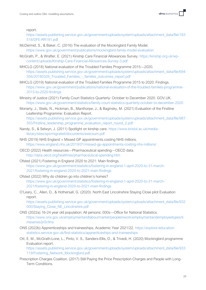report.

[https://assets.publishing.service.gov.uk/government/uploads/system/uploads/attachment\\_data/file/183](https://assets.publishing.service.gov.uk/government/uploads/system/uploads/attachment_data/file/183518/DFE-RR191.pdf) [518/DFE-RR191.pdf](https://assets.publishing.service.gov.uk/government/uploads/system/uploads/attachment_data/file/183518/DFE-RR191.pdf)

- McDermid, S., & Baker, C. (2016) The evaluation of the Mockingbird Family Model. <https://www.gov.uk/government/publications/mockingbird-family-model-evaluation>
- McGrath, P., & Wrafter, E. (2021) Kinship Care Financial Allowances Survey. [https://kinship.org.uk/wp](https://kinship.org.uk/wp-content/uploads/Kinship-Care-Financial-Allowances-Survey-3.pdf)[content/uploads/Kinship-Care-Financial-Allowances-Survey-3.pdf](https://kinship.org.uk/wp-content/uploads/Kinship-Care-Financial-Allowances-Survey-3.pdf)
- MHCLG (2018) National evaluation of the Troubled Families Programme 2015—2020. [https://assets.publishing.service.gov.uk/government/uploads/system/uploads/attachment\\_data/file/694](https://assets.publishing.service.gov.uk/government/uploads/system/uploads/attachment_data/file/694356/20180326_Troubled_Families_-_families_outcomes_report.pdf) 356/20180326 Troubled Families - families outcomes report.pdf
- MHCLG (2019) National evaluation of the Troubled Families Programme 2015 to 2020: Findings. [https://www.gov.uk/government/publications/national-evaluation-of-the-troubled-families-programme-](https://www.gov.uk/government/publications/national-evaluation-of-the-troubled-families-programme-2015-to-2020-findings)[2015-to-2020-findings](https://www.gov.uk/government/publications/national-evaluation-of-the-troubled-families-programme-2015-to-2020-findings)
- Ministry of Justice (2021) Family Court Statistics Quarterly: October to December 2020. GOV.UK. <https://www.gov.uk/government/statistics/family-court-statistics-quarterly-october-to-december-2020>

Moriarty, J., Steils, N., Hickman, B., Manthorpe, J., & Baginsky, M. (2021) Evaluation of the Firstline Leafership Programme: Evaluation Report. [https://assets.publishing.service.gov.uk/government/uploads/system/uploads/attachment\\_data/file/987](https://assets.publishing.service.gov.uk/government/uploads/system/uploads/attachment_data/file/987355/Firstline_leadership_programme_evaluation_report_round_2.pdf) [355/Firstline\\_leadership\\_programme\\_evaluation\\_report\\_round\\_2.pdf](https://assets.publishing.service.gov.uk/government/uploads/system/uploads/attachment_data/file/987355/Firstline_leadership_programme_evaluation_report_round_2.pdf)

- Nandy, S., & Selwyn, J. (2011) Spotlight on kinship care. [https://www.bristol.ac.uk/media](https://www.bristol.ac.uk/media-library/sites/sps/migrated/documents/execsum.pdf)[library/sites/sps/migrated/documents/execsum.pdf](https://www.bristol.ac.uk/media-library/sites/sps/migrated/documents/execsum.pdf)
- NHS (2019) NHS England » Missed GP appointments costing NHS millions. <https://www.england.nhs.uk/2019/01/missed-gp-appointments-costing-nhs-millions/>
- OECD (2022) Health resources—Pharmaceutical spending—OECD data. <http://data.oecd.org/healthres/pharmaceutical-spending.htm>
- Ofsted (2021) Fostering in England 2020 to 2021: Main findings. [https://www.gov.uk/government/statistics/fostering-in-england-1-april-2020-to-31-march-](https://www.gov.uk/government/statistics/fostering-in-england-1-april-2020-to-31-march-2021/fostering-in-england-2020-to-2021-main-findings)[2021/fostering-in-england-2020-to-2021-main-findings](https://www.gov.uk/government/statistics/fostering-in-england-1-april-2020-to-31-march-2021/fostering-in-england-2020-to-2021-main-findings)
- Ofsted (2022) Why do children go into children's homes? [https://www.gov.uk/government/statistics/fostering-in-england-1-april-2020-to-31-march-](https://www.gov.uk/government/statistics/fostering-in-england-1-april-2020-to-31-march-2021/fostering-in-england-2020-to-2021-main-findings)[2021/fostering-in-england-2020-to-2021-main-findings](https://www.gov.uk/government/statistics/fostering-in-england-1-april-2020-to-31-march-2021/fostering-in-england-2020-to-2021-main-findings)
- O'Leary, C., Allen, D., & Hothersall, G. (2020). North East Lincolnshire Staying Close pilot Evaluation report.

[https://assets.publishing.service.gov.uk/government/uploads/system/uploads/attachment\\_data/file/932](https://assets.publishing.service.gov.uk/government/uploads/system/uploads/attachment_data/file/932000/Staying_Close_NE_Lincolnshire.pdf) [000/Staying\\_Close\\_NE\\_Lincolnshire.pdf](https://assets.publishing.service.gov.uk/government/uploads/system/uploads/attachment_data/file/932000/Staying_Close_NE_Lincolnshire.pdf)

- ONS (2022a) 16-24 year old population: All persons: 000s—Office for National Statistics. [https://www.ons.gov.uk/employmentandlabourmarket/peopleinwork/employmentandemployeetypes/ti](https://www.ons.gov.uk/employmentandlabourmarket/peopleinwork/employmentandemployeetypes/timeseries/jn5r/lms) [meseries/jn5r/lms](https://www.ons.gov.uk/employmentandlabourmarket/peopleinwork/employmentandemployeetypes/timeseries/jn5r/lms)
- ONS (2022b) Apprenticeships and traineeships, Academic Year 2021/22. [https://explore-education](https://explore-education-statistics.service.gov.uk/find-statistics/apprenticeships-and-traineeships)[statistics.service.gov.uk/find-statistics/apprenticeships-and-traineeships](https://explore-education-statistics.service.gov.uk/find-statistics/apprenticeships-and-traineeships)
- Ott, E. M., McGrath-Lone, L., Pinto, V. S., Sanders-Ellis, D., & Trivedi, H. (2020) Mockingbird programme Evaluation report.

[https://assets.publishing.service.gov.uk/government/uploads/system/uploads/attachment\\_data/file/933](https://assets.publishing.service.gov.uk/government/uploads/system/uploads/attachment_data/file/933119/Fostering_Network_Mockingbird.pdf) [119/Fostering\\_Network\\_Mockingbird.pdf](https://assets.publishing.service.gov.uk/government/uploads/system/uploads/attachment_data/file/933119/Fostering_Network_Mockingbird.pdf)

Prescription Charges Coalition. (2017) Still Paying the Price Prescription Charges and People with Long-Term Conditions.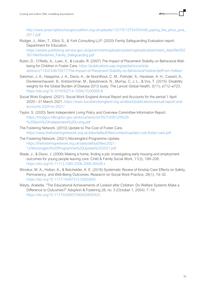[http://www.prescriptionchargescoalition.org.uk/uploads/1/2/7/5/12754304/still\\_paying\\_the\\_price\\_june\\_](http://www.prescriptionchargescoalition.org.uk/uploads/1/2/7/5/12754304/still_paying_the_price_june_2017.pdf) [2017.pdf](http://www.prescriptionchargescoalition.org.uk/uploads/1/2/7/5/12754304/still_paying_the_price_june_2017.pdf)

Rodger, J., Allan, T., Elliot, S., & York Consulting LLP. (2020) Family Safeguarding Evaluation report. Department for Education.

[https://assets.publishing.service.gov.uk/government/uploads/system/uploads/attachment\\_data/file/932](https://assets.publishing.service.gov.uk/government/uploads/system/uploads/attachment_data/file/932367/Hertfordshire_Family_Safeguarding.pdf) [367/Hertfordshire\\_Family\\_Safeguarding.pdf](https://assets.publishing.service.gov.uk/government/uploads/system/uploads/attachment_data/file/932367/Hertfordshire_Family_Safeguarding.pdf)

- Rubin, D., O'Reilly, A., Luan, X., & Localio, R. (2007) The Impact of Placement Stability on Behavioral Wellbeing for Children in Foster Care. [https://publications.aap.org/pediatrics/article](https://publications.aap.org/pediatrics/article-abstract/119/2/336/70277/The-Impact-of-Placement-Stability-on-Behavioral?redirectedFrom=fulltext)[abstract/119/2/336/70277/The-Impact-of-Placement-Stability-on-Behavioral?redirectedFrom=fulltext](https://publications.aap.org/pediatrics/article-abstract/119/2/336/70277/The-Impact-of-Placement-Stability-on-Behavioral?redirectedFrom=fulltext)
- Salomon, J. A., Haagsma, J. A., Davis, A., de Noordhout, C. M., Polinder, S., Havelaar, A. H., Cassini, A., Devleesschauwer, B., Kretzschmar, M., Speybroeck, N., Murray, C. J. L., & Vos, T. (2015). Disability weights for the Global Burden of Disease 2013 study. The Lancet Global Health, 3(11), e712–e723. [https://doi.org/10.1016/S2214-109X\(15\)00069-8](https://doi.org/10.1016/S2214-109X(15)00069-8)
- Social Work England. (2021). Social Work England Annual Report and Accounts for the period 1 April 2020—31 March 2021. [https://www.socialworkengland.org.uk/about/publications/annual-report-and](https://www.socialworkengland.org.uk/about/publications/annual-report-and-accounts-2020-to-2021/)[accounts-2020-to-2021/](https://www.socialworkengland.org.uk/about/publications/annual-report-and-accounts-2020-to-2021/)
- Taylor, S. (2020) Semi Independent Living Policy and Overview Committee Information Report. [https://modgov.hillingdon.gov.uk/documents/s47627/200129%20-](https://modgov.hillingdon.gov.uk/documents/s47627/200129%20-%20Semi%20Independent%20Living.pdf) [%20Semi%20Independent%20Living.pdf](https://modgov.hillingdon.gov.uk/documents/s47627/200129%20-%20Semi%20Independent%20Living.pdf)
- The Fostering Network. (2010) Update to The Cost of Foster Care. <https://www.thefosteringnetwork.org.uk/sites/default/files/content/update-cost-foster-care.pdf>
- The Fostering Network. (2021) Mockingbird Programme Update. [https://thefosteringnetwork.org.uk/sites/default/files/2021-](https://thefosteringnetwork.org.uk/sites/default/files/2021-12/Mockingbird%20Programme%20Update%202021.pdf) [12/Mockingbird%20Programme%20Update%202021.pdf](https://thefosteringnetwork.org.uk/sites/default/files/2021-12/Mockingbird%20Programme%20Update%202021.pdf)
- Wade, J., & Dixon, J. (2006) Making a home, finding a job: Investigating early housing and employment outcomes for young people leaving care. Child & Family Social Work, 11(3), 199–208. <https://doi.org/10.1111/j.1365-2206.2006.00428.x>
- Winokur, M. A., Holtan, A., & Batchelder, K. E. (2018) Systematic Review of Kinship Care Effects on Safety, Permanency, and Well-Being Outcomes. Research on Social Work Practice, 28(1), 19–32. <https://doi.org/10.1177/1049731515620843>
- Weyts, Arabella. "The Educational Achievements of Looked after Children: Do Welfare Systems Make a Difference to Outcomes?" Adoption & Fostering 28, no. 3 (October 1, 2004): 7–19. [https://doi.org/10.1177/030857590402800303.](https://doi.org/10.1177/030857590402800303)